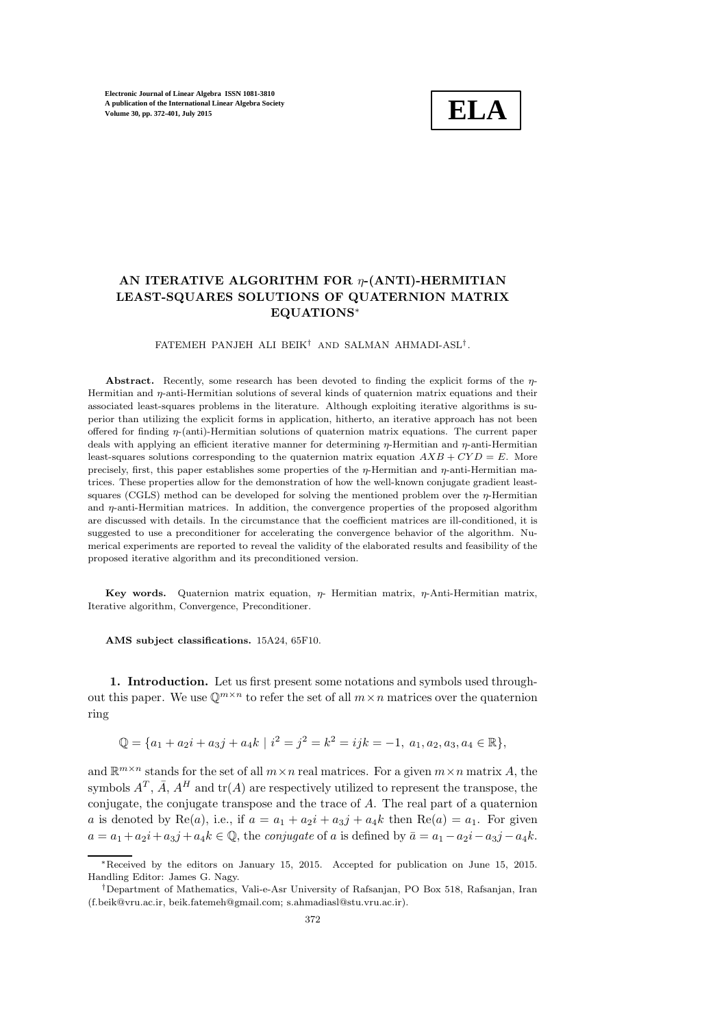

# AN ITERATIVE ALGORITHM FOR  $\eta$ -(ANTI)-HERMITIAN LEAST-SQUARES SOLUTIONS OF QUATERNION MATRIX EQUATIONS<sup>∗</sup>

### FATEMEH PANJEH ALI BEIK† AND SALMAN AHMADI-ASL† .

Abstract. Recently, some research has been devoted to finding the explicit forms of the  $\eta$ -Hermitian and η-anti-Hermitian solutions of several kinds of quaternion matrix equations and their associated least-squares problems in the literature. Although exploiting iterative algorithms is superior than utilizing the explicit forms in application, hitherto, an iterative approach has not been offered for finding η-(anti)-Hermitian solutions of quaternion matrix equations. The current paper deals with applying an efficient iterative manner for determining  $\eta$ -Hermitian and  $\eta$ -anti-Hermitian least-squares solutions corresponding to the quaternion matrix equation  $AXB + CYD = E$ . More precisely, first, this paper establishes some properties of the  $\eta$ -Hermitian and  $\eta$ -anti-Hermitian matrices. These properties allow for the demonstration of how the well-known conjugate gradient leastsquares (CGLS) method can be developed for solving the mentioned problem over the  $\eta$ -Hermitian and  $n$ -anti-Hermitian matrices. In addition, the convergence properties of the proposed algorithm are discussed with details. In the circumstance that the coefficient matrices are ill-conditioned, it is suggested to use a preconditioner for accelerating the convergence behavior of the algorithm. Numerical experiments are reported to reveal the validity of the elaborated results and feasibility of the proposed iterative algorithm and its preconditioned version.

Key words. Quaternion matrix equation,  $\eta$ - Hermitian matrix,  $\eta$ -Anti-Hermitian matrix, Iterative algorithm, Convergence, Preconditioner.

AMS subject classifications. 15A24, 65F10.

1. Introduction. Let us first present some notations and symbols used throughout this paper. We use  $\mathbb{Q}^{m \times n}$  to refer the set of all  $m \times n$  matrices over the quaternion ring

 $\mathbb{Q} = \{a_1 + a_2i + a_3j + a_4k \mid i^2 = j^2 = k^2 = ijk = -1, a_1, a_2, a_3, a_4 \in \mathbb{R}\},\$ 

and  $\mathbb{R}^{m \times n}$  stands for the set of all  $m \times n$  real matrices. For a given  $m \times n$  matrix A, the symbols  $A^T$ ,  $\bar{A}$ ,  $A^H$  and  $tr(A)$  are respectively utilized to represent the transpose, the conjugate, the conjugate transpose and the trace of A. The real part of a quaternion a is denoted by Re(a), i.e., if  $a = a_1 + a_2i + a_3j + a_4k$  then Re(a) =  $a_1$ . For given  $a = a_1 + a_2i + a_3j + a_4k \in \mathbb{Q}$ , the *conjugate* of a is defined by  $\bar{a} = a_1 - a_2i - a_3j - a_4k$ .

<sup>∗</sup>Received by the editors on January 15, 2015. Accepted for publication on June 15, 2015. Handling Editor: James G. Nagy.

<sup>†</sup>Department of Mathematics, Vali-e-Asr University of Rafsanjan, PO Box 518, Rafsanjan, Iran (f.beik@vru.ac.ir, beik.fatemeh@gmail.com; s.ahmadiasl@stu.vru.ac.ir).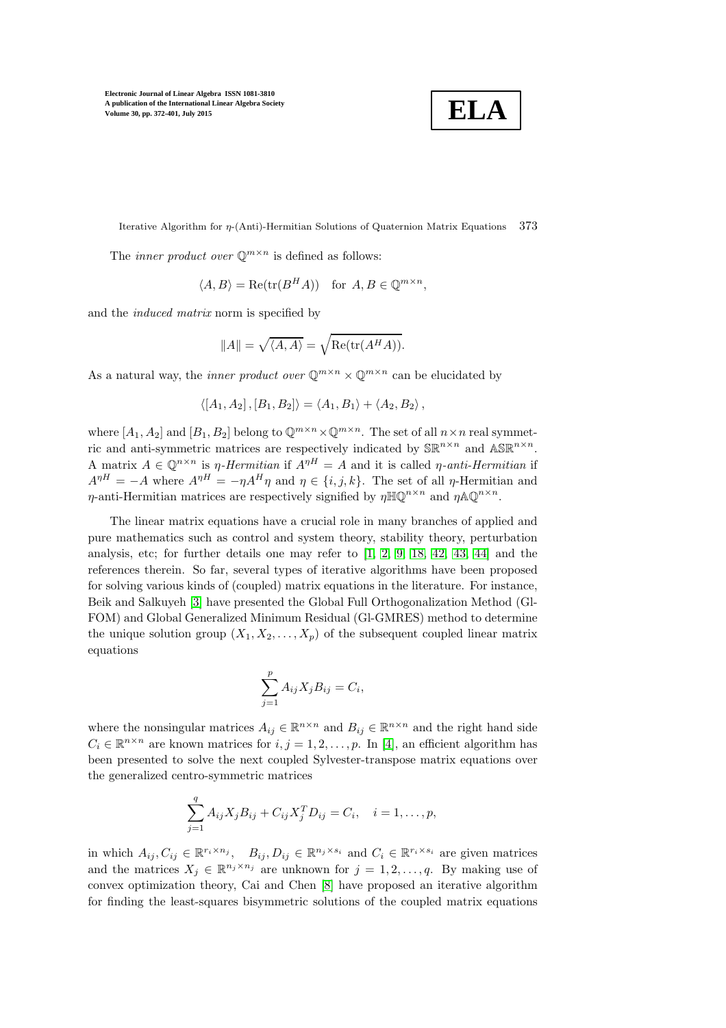**ELA**

Iterative Algorithm for η-(Anti)-Hermitian Solutions of Quaternion Matrix Equations 373

The *inner product over*  $\mathbb{Q}^{m \times n}$  is defined as follows:

$$
\langle A, B \rangle = \text{Re}(\text{tr}(B^H A)) \quad \text{for } A, B \in \mathbb{Q}^{m \times n},
$$

and the induced matrix norm is specified by

$$
||A|| = \sqrt{\langle A, A \rangle} = \sqrt{\text{Re}(\text{tr}(A^H A))}.
$$

As a natural way, the *inner product over*  $\mathbb{Q}^{m \times n} \times \mathbb{Q}^{m \times n}$  can be elucidated by

$$
\langle [A_1, A_2], [B_1, B_2] \rangle = \langle A_1, B_1 \rangle + \langle A_2, B_2 \rangle,
$$

where  $[A_1, A_2]$  and  $[B_1, B_2]$  belong to  $\mathbb{Q}^{m \times n} \times \mathbb{Q}^{m \times n}$ . The set of all  $n \times n$  real symmetric and anti-symmetric matrices are respectively indicated by  $\mathbb{SR}^{n \times n}$  and  $\mathbb{ASR}^{n \times n}$ . A matrix  $A \in \mathbb{Q}^{n \times n}$  is  $\eta$ -Hermitian if  $A^{\eta H} = A$  and it is called  $\eta$ -anti-Hermitian if  $A^{\eta H} = -A$  where  $A^{\eta H} = -\eta A^H \eta$  and  $\eta \in \{i, j, k\}$ . The set of all  $\eta$ -Hermitian and  $\eta$ -anti-Hermitian matrices are respectively signified by  $\eta \mathbb{H} \mathbb{Q}^{n \times n}$  and  $\eta \mathbb{A} \mathbb{Q}^{n \times n}$ .

The linear matrix equations have a crucial role in many branches of applied and pure mathematics such as control and system theory, stability theory, perturbation analysis, etc; for further details one may refer to [\[1,](#page-24-0) [2,](#page-24-1) [9,](#page-25-0) [18,](#page-25-1) [42,](#page-26-0) [43,](#page-26-1) [44\]](#page-26-2) and the references therein. So far, several types of iterative algorithms have been proposed for solving various kinds of (coupled) matrix equations in the literature. For instance, Beik and Salkuyeh [\[3\]](#page-24-2) have presented the Global Full Orthogonalization Method (Gl-FOM) and Global Generalized Minimum Residual (Gl-GMRES) method to determine the unique solution group  $(X_1, X_2, \ldots, X_p)$  of the subsequent coupled linear matrix equations

$$
\sum_{j=1}^p A_{ij} X_j B_{ij} = C_i,
$$

where the nonsingular matrices  $A_{ij} \in \mathbb{R}^{n \times n}$  and  $B_{ij} \in \mathbb{R}^{n \times n}$  and the right hand side  $C_i \in \mathbb{R}^{n \times n}$  are known matrices for  $i, j = 1, 2, ..., p$ . In [\[4\]](#page-24-3), an efficient algorithm has been presented to solve the next coupled Sylvester-transpose matrix equations over the generalized centro-symmetric matrices

$$
\sum_{j=1}^{q} A_{ij} X_j B_{ij} + C_{ij} X_j^T D_{ij} = C_i, \quad i = 1, \dots, p,
$$

in which  $A_{ij}, C_{ij} \in \mathbb{R}^{r_i \times n_j}$ ,  $B_{ij}, D_{ij} \in \mathbb{R}^{n_j \times s_i}$  and  $C_i \in \mathbb{R}^{r_i \times s_i}$  are given matrices and the matrices  $X_j \in \mathbb{R}^{n_j \times n_j}$  are unknown for  $j = 1, 2, ..., q$ . By making use of convex optimization theory, Cai and Chen [\[8\]](#page-25-2) have proposed an iterative algorithm for finding the least-squares bisymmetric solutions of the coupled matrix equations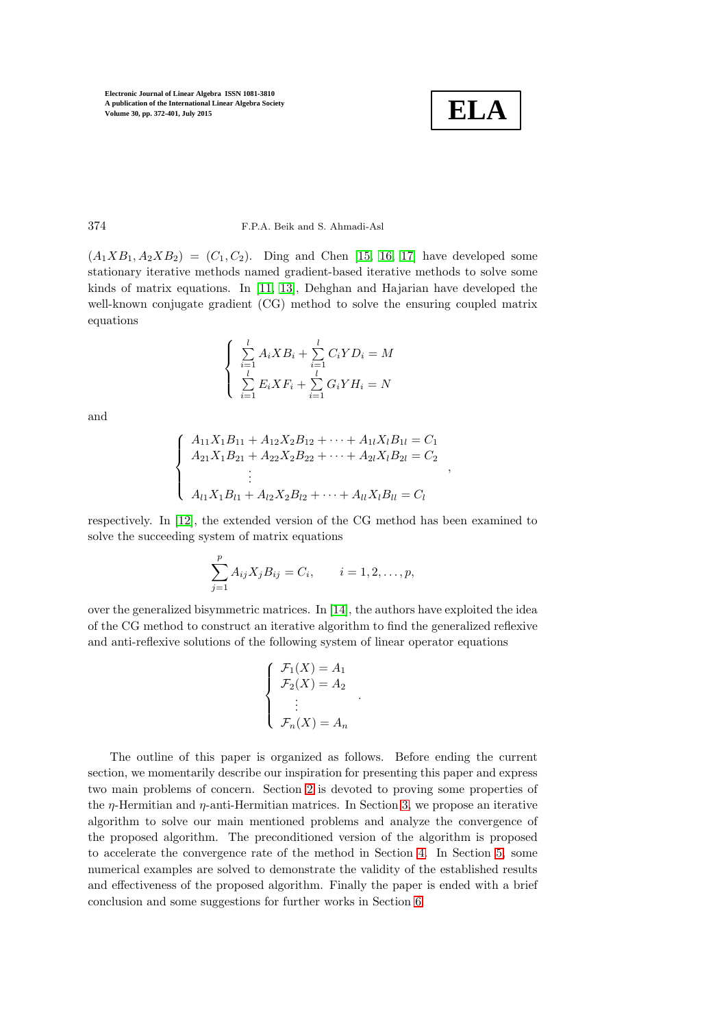

,

### 374 F.P.A. Beik and S. Ahmadi-Asl

 $(A_1XB_1, A_2XB_2) = (C_1, C_2)$ . Ding and Chen [\[15,](#page-25-3) [16,](#page-25-4) [17\]](#page-25-5) have developed some stationary iterative methods named gradient-based iterative methods to solve some kinds of matrix equations. In [\[11,](#page-25-6) [13\]](#page-25-7), Dehghan and Hajarian have developed the well-known conjugate gradient (CG) method to solve the ensuring coupled matrix equations

$$
\begin{cases} \sum_{i=1}^{l} A_i X B_i + \sum_{i=1}^{l} C_i Y D_i = M \\ \sum_{i=1}^{l} E_i X F_i + \sum_{i=1}^{l} G_i Y H_i = N \end{cases}
$$

and

$$
\begin{cases}\nA_{11}X_1B_{11} + A_{12}X_2B_{12} + \cdots + A_{1l}X_lB_{1l} = C_1 \\
A_{21}X_1B_{21} + A_{22}X_2B_{22} + \cdots + A_{2l}X_lB_{2l} = C_2 \\
\vdots \\
A_{l1}X_1B_{l1} + A_{l2}X_2B_{l2} + \cdots + A_{ll}X_lB_{ll} = C_l\n\end{cases}
$$

respectively. In [\[12\]](#page-25-8), the extended version of the CG method has been examined to solve the succeeding system of matrix equations

$$
\sum_{j=1}^{p} A_{ij} X_j B_{ij} = C_i, \qquad i = 1, 2, \dots, p,
$$

over the generalized bisymmetric matrices. In [\[14\]](#page-25-9), the authors have exploited the idea of the CG method to construct an iterative algorithm to find the generalized reflexive and anti-reflexive solutions of the following system of linear operator equations

$$
\begin{cases}\n\mathcal{F}_1(X) = A_1 \\
\mathcal{F}_2(X) = A_2 \\
\vdots \\
\mathcal{F}_n(X) = A_n\n\end{cases}
$$

.

The outline of this paper is organized as follows. Before ending the current section, we momentarily describe our inspiration for presenting this paper and express two main problems of concern. Section [2](#page-4-0) is devoted to proving some properties of the  $\eta$ -Hermitian and  $\eta$ -anti-Hermitian matrices. In Section [3,](#page-7-0) we propose an iterative algorithm to solve our main mentioned problems and analyze the convergence of the proposed algorithm. The preconditioned version of the algorithm is proposed to accelerate the convergence rate of the method in Section [4.](#page-14-0) In Section [5,](#page-16-0) some numerical examples are solved to demonstrate the validity of the established results and effectiveness of the proposed algorithm. Finally the paper is ended with a brief conclusion and some suggestions for further works in Section [6.](#page-23-0)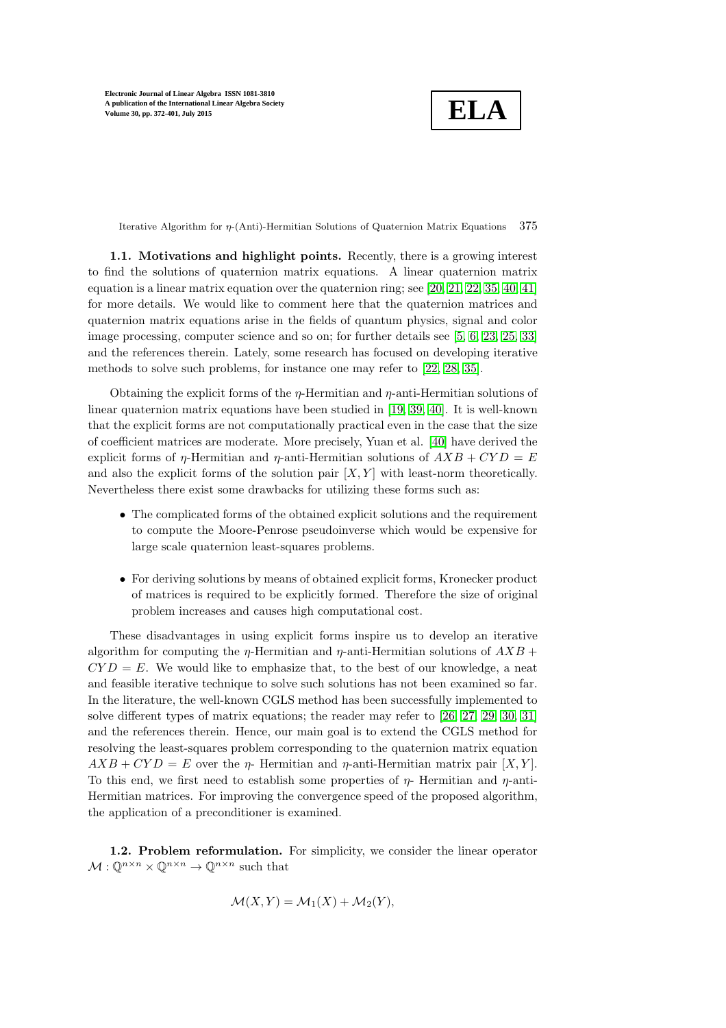**ELA**

Iterative Algorithm for  $\eta$ -(Anti)-Hermitian Solutions of Quaternion Matrix Equations 375

1.1. Motivations and highlight points. Recently, there is a growing interest to find the solutions of quaternion matrix equations. A linear quaternion matrix equation is a linear matrix equation over the quaternion ring; see [\[20,](#page-25-10) [21,](#page-25-11) [22,](#page-25-12) [35,](#page-26-3) [40,](#page-26-4) [41\]](#page-26-5) for more details. We would like to comment here that the quaternion matrices and quaternion matrix equations arise in the fields of quantum physics, signal and color image processing, computer science and so on; for further details see [\[5,](#page-24-4) [6,](#page-24-5) [23,](#page-25-13) [25,](#page-25-14) [33\]](#page-26-6) and the references therein. Lately, some research has focused on developing iterative methods to solve such problems, for instance one may refer to [\[22,](#page-25-12) [28,](#page-25-15) [35\]](#page-26-3).

Obtaining the explicit forms of the  $\eta$ -Hermitian and  $\eta$ -anti-Hermitian solutions of linear quaternion matrix equations have been studied in [\[19,](#page-25-16) [39,](#page-26-7) [40\]](#page-26-4). It is well-known that the explicit forms are not computationally practical even in the case that the size of coefficient matrices are moderate. More precisely, Yuan et al. [\[40\]](#page-26-4) have derived the explicit forms of  $\eta$ -Hermitian and  $\eta$ -anti-Hermitian solutions of  $AXB + CYD = E$ and also the explicit forms of the solution pair  $[X, Y]$  with least-norm theoretically. Nevertheless there exist some drawbacks for utilizing these forms such as:

- The complicated forms of the obtained explicit solutions and the requirement to compute the Moore-Penrose pseudoinverse which would be expensive for large scale quaternion least-squares problems.
- For deriving solutions by means of obtained explicit forms, Kronecker product of matrices is required to be explicitly formed. Therefore the size of original problem increases and causes high computational cost.

These disadvantages in using explicit forms inspire us to develop an iterative algorithm for computing the *η*-Hermitian and *η*-anti-Hermitian solutions of  $AXB +$  $CYD = E$ . We would like to emphasize that, to the best of our knowledge, a neat and feasible iterative technique to solve such solutions has not been examined so far. In the literature, the well-known CGLS method has been successfully implemented to solve different types of matrix equations; the reader may refer to [\[26,](#page-25-17) [27,](#page-25-18) [29,](#page-25-19) [30,](#page-26-8) [31\]](#page-26-9) and the references therein. Hence, our main goal is to extend the CGLS method for resolving the least-squares problem corresponding to the quaternion matrix equation  $AXB + CYD = E$  over the  $\eta$ - Hermitian and  $\eta$ -anti-Hermitian matrix pair [X, Y]. To this end, we first need to establish some properties of  $\eta$ - Hermitian and  $\eta$ -anti-Hermitian matrices. For improving the convergence speed of the proposed algorithm, the application of a preconditioner is examined.

1.2. Problem reformulation. For simplicity, we consider the linear operator  $\mathcal{M}: \mathbb{O}^{n \times n} \times \mathbb{O}^{n \times n} \to \mathbb{O}^{n \times n}$  such that

$$
\mathcal{M}(X,Y) = \mathcal{M}_1(X) + \mathcal{M}_2(Y),
$$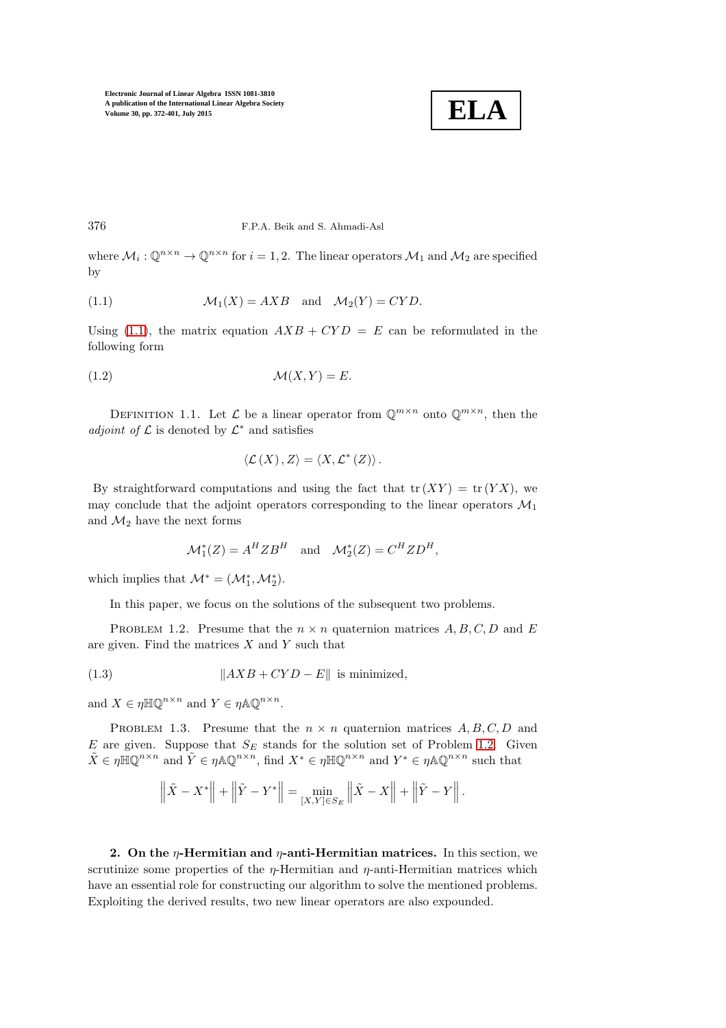

376 F.P.A. Beik and S. Ahmadi-Asl

where  $\mathcal{M}_i: \mathbb{Q}^{n \times n} \to \mathbb{Q}^{n \times n}$  for  $i = 1, 2$ . The linear operators  $\mathcal{M}_1$  and  $\mathcal{M}_2$  are specified by

<span id="page-4-1"></span>(1.1) 
$$
\mathcal{M}_1(X) = AXB \text{ and } \mathcal{M}_2(Y) = CYD.
$$

Using [\(1.1\)](#page-4-1), the matrix equation  $AXB + CYD = E$  can be reformulated in the following form

$$
\mathcal{M}(X,Y) = E.
$$

DEFINITION 1.1. Let  $\mathcal L$  be a linear operator from  $\mathbb Q^{m \times n}$  onto  $\mathbb Q^{m \times n}$ , then the adjoint of  $\mathcal L$  is denoted by  $\mathcal L^*$  and satisfies

<span id="page-4-4"></span>
$$
\langle \mathcal{L}(X), Z \rangle = \langle X, \mathcal{L}^*(Z) \rangle.
$$

By straightforward computations and using the fact that  $tr(XY) = tr(YX)$ , we may conclude that the adjoint operators corresponding to the linear operators  $\mathcal{M}_1$ and  $\mathcal{M}_2$  have the next forms

<span id="page-4-5"></span>
$$
\mathcal{M}_1^*(Z) = A^H Z B^H \quad \text{and} \quad \mathcal{M}_2^*(Z) = C^H Z D^H,
$$

which implies that  $\mathcal{M}^* = (\mathcal{M}_1^*, \mathcal{M}_2^*)$ .

<span id="page-4-2"></span>In this paper, we focus on the solutions of the subsequent two problems.

PROBLEM 1.2. Presume that the  $n \times n$  quaternion matrices  $A, B, C, D$  and E are given. Find the matrices  $X$  and  $Y$  such that

(1.3) kAXB + CY D − Ek is minimized,

<span id="page-4-3"></span>and  $X \in \eta \mathbb{H} \mathbb{Q}^{n \times n}$  and  $Y \in \eta \mathbb{A} \mathbb{Q}^{n \times n}$ .

PROBLEM 1.3. Presume that the  $n \times n$  quaternion matrices  $A, B, C, D$  and  $E$  are given. Suppose that  $S_E$  stands for the solution set of Problem [1.2.](#page-4-2) Given  $\tilde{X} \in \eta \mathbb{H}\mathbb{Q}^{n \times n}$  and  $\tilde{Y} \in \eta \mathbb{A}\mathbb{Q}^{n \times n}$ , find  $X^* \in \eta \mathbb{H}\mathbb{Q}^{n \times n}$  and  $Y^* \in \eta \mathbb{A}\mathbb{Q}^{n \times n}$  such that

$$
\|\tilde{X} - X^*\| + \|\tilde{Y} - Y^*\| = \min_{[X,Y] \in S_E} \|\tilde{X} - X\| + \|\tilde{Y} - Y\|.
$$

<span id="page-4-0"></span>2. On the  $\eta$ -Hermitian and  $\eta$ -anti-Hermitian matrices. In this section, we scrutinize some properties of the  $\eta$ -Hermitian and  $\eta$ -anti-Hermitian matrices which have an essential role for constructing our algorithm to solve the mentioned problems. Exploiting the derived results, two new linear operators are also expounded.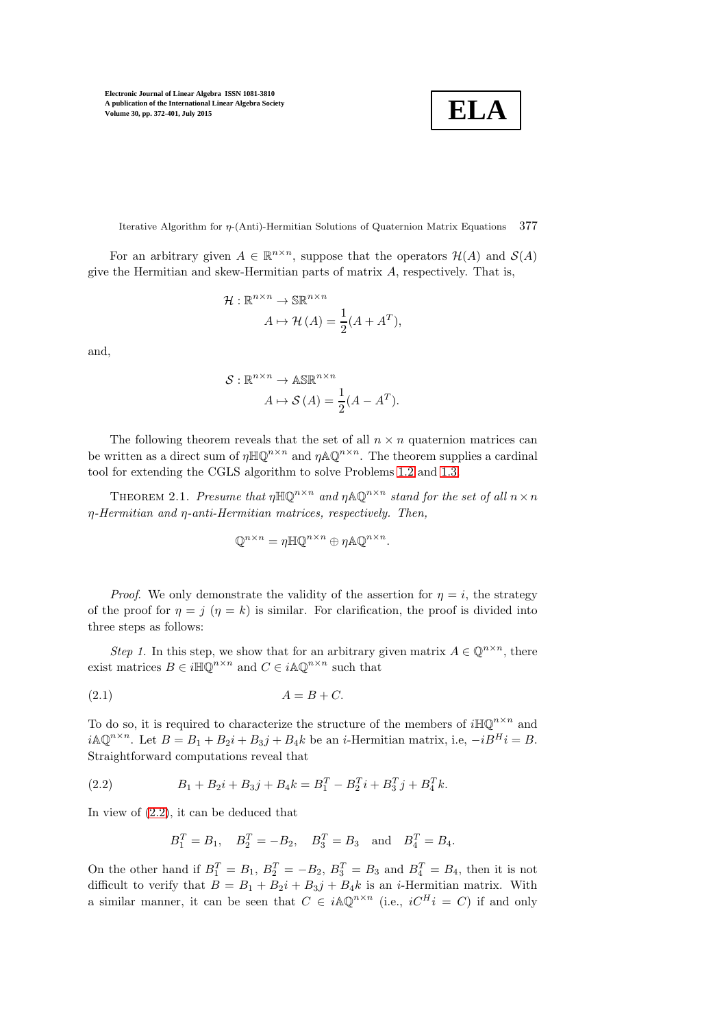**ELA**

Iterative Algorithm for η-(Anti)-Hermitian Solutions of Quaternion Matrix Equations 377

For an arbitrary given  $A \in \mathbb{R}^{n \times n}$ , suppose that the operators  $\mathcal{H}(A)$  and  $\mathcal{S}(A)$ give the Hermitian and skew-Hermitian parts of matrix A, respectively. That is,

$$
\mathcal{H}: \mathbb{R}^{n \times n} \to \mathbb{SR}^{n \times n}
$$

$$
A \mapsto \mathcal{H}(A) = \frac{1}{2}(A + A^T),
$$

and,

$$
S: \mathbb{R}^{n \times n} \to \mathbb{AS} \mathbb{R}^{n \times n}
$$

$$
A \mapsto S(A) = \frac{1}{2}(A - A^T).
$$

The following theorem reveals that the set of all  $n \times n$  quaternion matrices can be written as a direct sum of  $\eta \mathbb{H} \mathbb{Q}^{n \times n}$  and  $\eta \mathbb{A} \mathbb{Q}^{n \times n}$ . The theorem supplies a cardinal tool for extending the CGLS algorithm to solve Problems [1.2](#page-4-2) and [1.3.](#page-4-3)

<span id="page-5-2"></span>THEOREM 2.1. Presume that  $\eta \mathbb{H} \mathbb{Q}^{n \times n}$  and  $\eta \mathbb{A} \mathbb{Q}^{n \times n}$  stand for the set of all  $n \times n$ η-Hermitian and η-anti-Hermitian matrices, respectively. Then,

<span id="page-5-1"></span>
$$
\mathbb{Q}^{n \times n} = \eta \mathbb{H} \mathbb{Q}^{n \times n} \oplus \eta \mathbb{A} \mathbb{Q}^{n \times n}.
$$

*Proof.* We only demonstrate the validity of the assertion for  $\eta = i$ , the strategy of the proof for  $\eta = j$  ( $\eta = k$ ) is similar. For clarification, the proof is divided into three steps as follows:

Step 1. In this step, we show that for an arbitrary given matrix  $A \in \mathbb{Q}^{n \times n}$ , there exist matrices  $B \in i\mathbb{H}\mathbb{Q}^{n\times n}$  and  $C \in i\mathbb{A}\mathbb{Q}^{n\times n}$  such that

$$
(2.1) \t\t A = B + C.
$$

To do so, it is required to characterize the structure of the members of  $i\mathbb{H}\mathbb{Q}^{n\times n}$  and  $i\mathbb{A}\mathbb{Q}^{n\times n}$ . Let  $B=B_1+B_2i+B_3j+B_4k$  be an *i*-Hermitian matrix, i.e,  $-iB^Hi=B$ . Straightforward computations reveal that

(2.2) 
$$
B_1 + B_2 i + B_3 j + B_4 k = B_1^T - B_2^T i + B_3^T j + B_4^T k.
$$

In view of [\(2.2\)](#page-5-0), it can be deduced that

<span id="page-5-0"></span>
$$
B_1^T = B_1
$$
,  $B_2^T = -B_2$ ,  $B_3^T = B_3$  and  $B_4^T = B_4$ .

On the other hand if  $B_1^T = B_1$ ,  $B_2^T = -B_2$ ,  $B_3^T = B_3$  and  $B_4^T = B_4$ , then it is not difficult to verify that  $B = B_1 + B_2i + B_3j + B_4k$  is an *i*-Hermitian matrix. With a similar manner, it can be seen that  $C \in i\mathbb{A}\mathbb{Q}^{n\times n}$  (i.e.,  $iC^H i = C$ ) if and only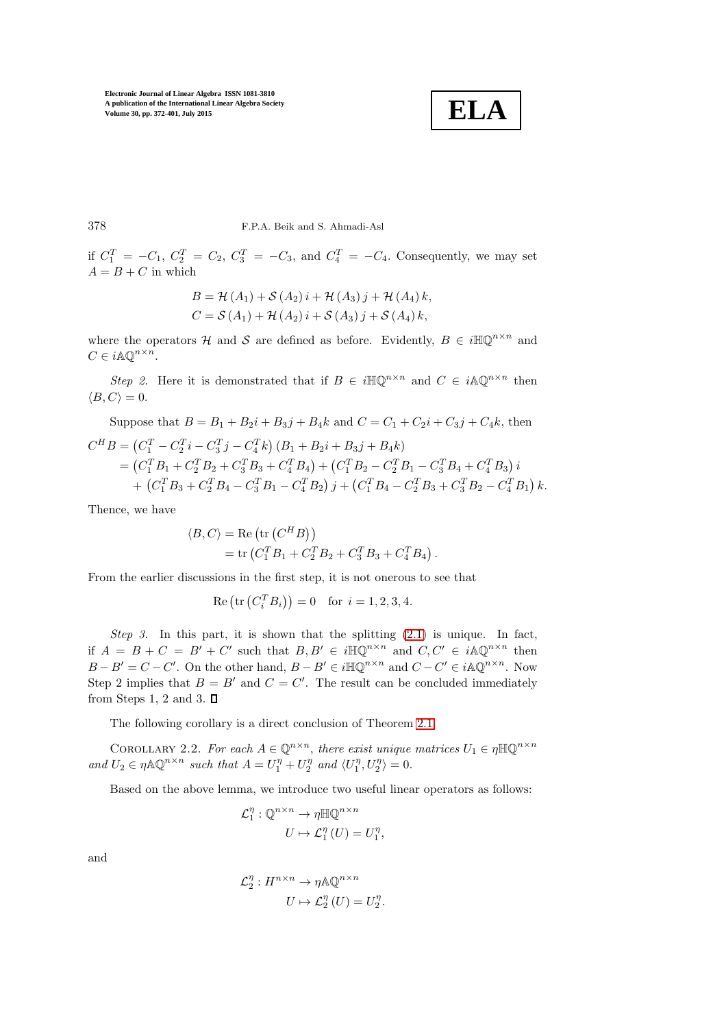

378 F.P.A. Beik and S. Ahmadi-Asl

if  $C_1^T = -C_1, C_2^T = C_2, C_3^T = -C_3$ , and  $C_4^T = -C_4$ . Consequently, we may set  $A = B + C$  in which

$$
B = \mathcal{H}(A_1) + \mathcal{S}(A_2) i + \mathcal{H}(A_3) j + \mathcal{H}(A_4) k,
$$
  
\n
$$
C = \mathcal{S}(A_1) + \mathcal{H}(A_2) i + \mathcal{S}(A_3) j + \mathcal{S}(A_4) k,
$$

where the operators H and S are defined as before. Evidently,  $B \in i\mathbb{H}\mathbb{Q}^{n\times n}$  and  $C \in i \mathbb{A} \mathbb{Q}^{n \times n}$ .

Step 2. Here it is demonstrated that if  $B \in i\mathbb{H}\mathbb{Q}^{n\times n}$  and  $C \in i\mathbb{A}\mathbb{Q}^{n\times n}$  then  $\langle B, C \rangle = 0.$ 

Suppose that 
$$
B = B_1 + B_2i + B_3j + B_4k
$$
 and  $C = C_1 + C_2i + C_3j + C_4k$ , then  
\n
$$
C^H B = (C_1^T - C_2^T i - C_3^T j - C_4^T k) (B_1 + B_2i + B_3j + B_4k)
$$
\n
$$
= (C_1^T B_1 + C_2^T B_2 + C_3^T B_3 + C_4^T B_4) + (C_1^T B_2 - C_2^T B_1 - C_3^T B_4 + C_4^T B_3) i
$$
\n
$$
+ (C_1^T B_3 + C_2^T B_4 - C_3^T B_1 - C_4^T B_2) j + (C_1^T B_4 - C_2^T B_3 + C_3^T B_2 - C_4^T B_1) k.
$$

Thence, we have

$$
\langle B, C \rangle = \text{Re} \left( \text{tr} \left( C^H B \right) \right) \n= \text{tr} \left( C_1^T B_1 + C_2^T B_2 + C_3^T B_3 + C_4^T B_4 \right).
$$

From the earlier discussions in the first step, it is not onerous to see that

Re (tr 
$$
(C_i^T B_i)
$$
) = 0 for  $i = 1, 2, 3, 4$ .

Step 3. In this part, it is shown that the splitting  $(2.1)$  is unique. In fact, if  $A = B + C = B' + C'$  such that  $B, B' \in i\mathbb{H}\mathbb{Q}^{n\times n}$  and  $C, C' \in i\mathbb{A}\mathbb{Q}^{n\times n}$  then  $B - B' = C - C'$ . On the other hand,  $B - B' \in i\mathbb{H}\mathbb{Q}^{n \times n}$  and  $C - C' \in i\mathbb{A}\mathbb{Q}^{n \times n}$ . Now Step 2 implies that  $B = B'$  and  $C = C'$ . The result can be concluded immediately from Steps 1, 2 and 3.  $\Box$ 

The following corollary is a direct conclusion of Theorem [2.1.](#page-5-2)

COROLLARY 2.2. For each  $A \in \mathbb{Q}^{n \times n}$ , there exist unique matrices  $U_1 \in \eta \mathbb{H} \mathbb{Q}^{n \times n}$ and  $U_2 \in \eta \mathbb{A} \mathbb{Q}^{n \times n}$  such that  $A = U_1^{\eta} + U_2^{\eta}$  and  $\langle U_1^{\eta}, U_2^{\eta} \rangle = 0$ .

Based on the above lemma, we introduce two useful linear operators as follows:

,

$$
\mathcal{L}_1^{\eta}: \mathbb{Q}^{n \times n} \to \eta \mathbb{H} \mathbb{Q}^{n \times n}
$$

$$
U \mapsto \mathcal{L}_1^{\eta}(U) = U_1^{\eta}
$$

and

$$
\mathcal{L}_2^{\eta}: H^{n \times n} \to \eta \mathbb{A} \mathbb{Q}^{n \times n}
$$

$$
U \mapsto \mathcal{L}_2^{\eta}(U) = U_2^{\eta}.
$$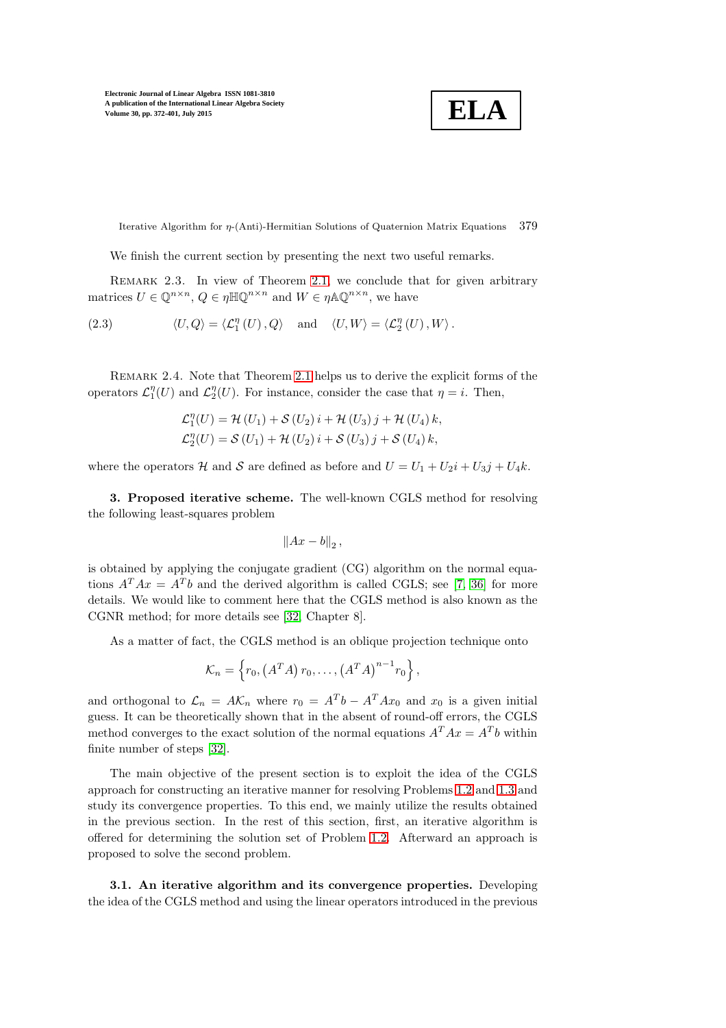$$
\boxed{\textbf{ELA}}
$$

Iterative Algorithm for η-(Anti)-Hermitian Solutions of Quaternion Matrix Equations 379

We finish the current section by presenting the next two useful remarks.

REMARK 2.3. In view of Theorem [2.1,](#page-5-2) we conclude that for given arbitrary matrices  $U \in \mathbb{Q}^{n \times n}$ ,  $Q \in \eta \mathbb{H} \mathbb{Q}^{n \times n}$  and  $W \in \eta \mathbb{A} \mathbb{Q}^{n \times n}$ , we have

<span id="page-7-1"></span>(2.3) 
$$
\langle U, Q \rangle = \langle \mathcal{L}_1^{\eta}(U), Q \rangle
$$
 and  $\langle U, W \rangle = \langle \mathcal{L}_2^{\eta}(U), W \rangle$ .

Remark 2.4. Note that Theorem [2.1](#page-5-2) helps us to derive the explicit forms of the operators  $\mathcal{L}_1^{\eta}(U)$  and  $\mathcal{L}_2^{\eta}(U)$ . For instance, consider the case that  $\eta = i$ . Then,

$$
\mathcal{L}_1^{\eta}(U) = \mathcal{H}(U_1) + \mathcal{S}(U_2) i + \mathcal{H}(U_3) j + \mathcal{H}(U_4) k,
$$
  

$$
\mathcal{L}_2^{\eta}(U) = \mathcal{S}(U_1) + \mathcal{H}(U_2) i + \mathcal{S}(U_3) j + \mathcal{S}(U_4) k,
$$

<span id="page-7-0"></span>where the operators H and S are defined as before and  $U = U_1 + U_2i + U_3j + U_4k$ .

3. Proposed iterative scheme. The well-known CGLS method for resolving the following least-squares problem

$$
||Ax-b||_2,
$$

is obtained by applying the conjugate gradient (CG) algorithm on the normal equations  $A^T A x = A^T b$  and the derived algorithm is called CGLS; see [\[7,](#page-25-20) [36\]](#page-26-10) for more details. We would like to comment here that the CGLS method is also known as the CGNR method; for more details see [\[32,](#page-26-11) Chapter 8].

As a matter of fact, the CGLS method is an oblique projection technique onto

$$
\mathcal{K}_n = \left\{ r_0, \left( A^T A \right) r_0, \dots, \left( A^T A \right)^{n-1} r_0 \right\},\,
$$

and orthogonal to  $\mathcal{L}_n = AK_n$  where  $r_0 = A^Tb - A^TAx_0$  and  $x_0$  is a given initial guess. It can be theoretically shown that in the absent of round-off errors, the CGLS method converges to the exact solution of the normal equations  $A^T A x = A^T b$  within finite number of steps [\[32\]](#page-26-11).

The main objective of the present section is to exploit the idea of the CGLS approach for constructing an iterative manner for resolving Problems [1.2](#page-4-2) and [1.3](#page-4-3) and study its convergence properties. To this end, we mainly utilize the results obtained in the previous section. In the rest of this section, first, an iterative algorithm is offered for determining the solution set of Problem [1.2.](#page-4-2) Afterward an approach is proposed to solve the second problem.

3.1. An iterative algorithm and its convergence properties. Developing the idea of the CGLS method and using the linear operators introduced in the previous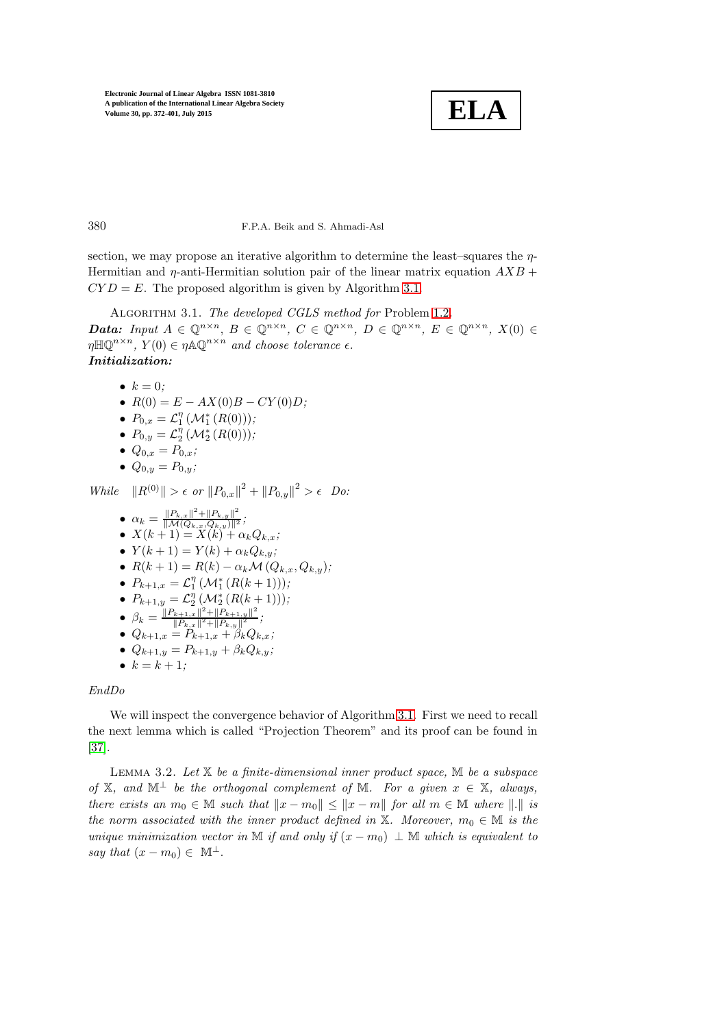

380 F.P.A. Beik and S. Ahmadi-Asl

section, we may propose an iterative algorithm to determine the least–squares the  $\eta$ -Hermitian and  $\eta$ -anti-Hermitian solution pair of the linear matrix equation  $AXB$  +  $CYD = E$ . The proposed algorithm is given by Algorithm [3.1.](#page-8-0)

<span id="page-8-0"></span>ALGORITHM 3.1. The developed CGLS method for Problem [1.2](#page-4-2). **Data:** Input  $A \in \mathbb{Q}^{n \times n}$ ,  $B \in \mathbb{Q}^{n \times n}$ ,  $C \in \mathbb{Q}^{n \times n}$ ,  $D \in \mathbb{Q}^{n \times n}$ ,  $E \in \mathbb{Q}^{n \times n}$ ,  $X(0) \in$  $\eta \mathbb{H} \mathbb{Q}^{n \times n}$ ,  $Y(0) \in \eta \mathbb{A} \mathbb{Q}^{n \times n}$  and choose tolerance  $\epsilon$ . Initialization:

\n- $$
k = 0;
$$
\n- $R(0) = E - AX(0)B - CY(0)D;$
\n- $P_{0,x} = \mathcal{L}_1^n \left( \mathcal{M}_1^*(R(0)) \right);$
\n

- $P_{0,y} = \mathcal{L}_2^{\eta} \left( \mathcal{M}_2^* \left( R(0) \right) \right);$
- $Q_{0,x} = P_{0,x};$
- $Q_{0,y} = P_{0,y};$

While  $||R^{(0)}|| > \epsilon$  or  $||P_{0,x}||^2 + ||P_{0,y}||^2 > \epsilon$  Do:

\n- \n
$$
\alpha_k = \frac{\|P_{k,x}\|^2 + \|P_{k,y}\|^2}{\|\mathcal{M}(Q_{k,x}, Q_{k,y})\|^2};
$$
\n
\n- \n $X(k+1) = X(k) + \alpha_k Q_{k,x};$ \n
\n- \n $Y(k+1) = Y(k) + \alpha_k Q_{k,y};$ \n
\n- \n $R(k+1) = R(k) - \alpha_k \mathcal{M}(Q_{k,x}, Q_{k,y});$ \n
\n- \n $P_{k+1,x} = \mathcal{L}_1^{\eta} (\mathcal{M}_1^*(R(k+1)));$ \n
\n- \n $P_{k+1,y} = \mathcal{L}_2^{\eta} (\mathcal{M}_2^*(R(k+1)));$ \n
\n- \n $\beta_k = \frac{\|P_{k+1,x}\|^2 + \|P_{k+1,y}\|^2}{\|P_{k,x}\|^2 + \|P_{k+1,y}\|^2};$ \n
\n- \n $Q_{k+1,x} = P_{k+1,x} + \beta_k Q_{k,x};$ \n
\n- \n $Q_{k+1,y} = P_{k+1,y} + \beta_k Q_{k,y};$ \n
\n- \n $k = k + 1;$ \n
\n

## EndDo

We will inspect the convergence behavior of Algorithm [3.1.](#page-8-0) First we need to recall the next lemma which is called "Projection Theorem" and its proof can be found in [\[37\]](#page-26-12).

<span id="page-8-1"></span>LEMMA 3.2. Let  $X$  be a finite-dimensional inner product space,  $M$  be a subspace of X, and  $\mathbb{M}^{\perp}$  be the orthogonal complement of M. For a given  $x \in X$ , always, there exists an  $m_0 \in \mathbb{M}$  such that  $||x - m_0|| \le ||x - m||$  for all  $m \in \mathbb{M}$  where  $||.||$  is the norm associated with the inner product defined in X. Moreover,  $m_0 \in \mathbb{M}$  is the unique minimization vector in M if and only if  $(x - m_0) \perp M$  which is equivalent to say that  $(x - m_0) \in \mathbb{M}^{\perp}$ .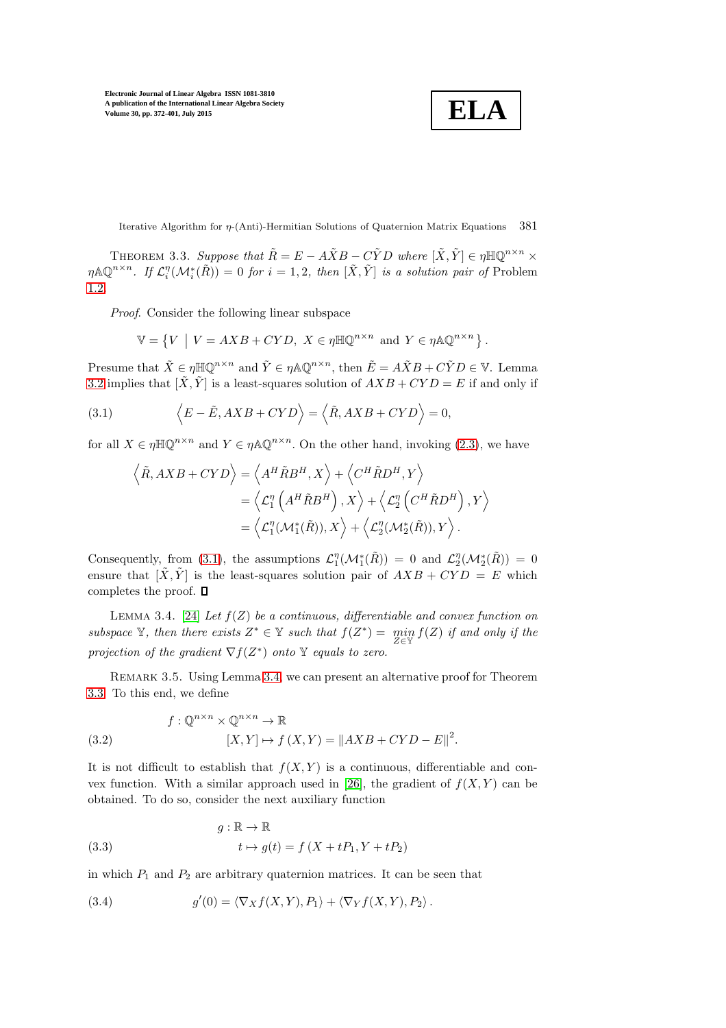$$
\boxed{\textbf{ELA}}
$$

Iterative Algorithm for η-(Anti)-Hermitian Solutions of Quaternion Matrix Equations 381

<span id="page-9-2"></span>THEOREM 3.3. Suppose that  $\tilde{R} = E - A\tilde{X}B - C\tilde{Y}D$  where  $[\tilde{X}, \tilde{Y}] \in \eta \mathbb{H}\mathbb{Q}^{n \times n} \times$  $\eta \mathbb{A}\mathbb{Q}^{n\times n}$ . If  $\mathcal{L}_i^{\eta}(\mathcal{M}_i^*(\tilde{R})) = 0$  for  $i = 1, 2$ , then  $[\tilde{X}, \tilde{Y}]$  is a solution pair of Problem [1.2](#page-4-2).

Proof. Consider the following linear subspace

$$
\mathbb{V} = \left\{ V \mid V = AXB + CYD, X \in \eta \mathbb{H} \mathbb{Q}^{n \times n} \text{ and } Y \in \eta \mathbb{A} \mathbb{Q}^{n \times n} \right\}.
$$

Presume that  $\tilde{X} \in \eta \mathbb{H}\mathbb{Q}^{n \times n}$  and  $\tilde{Y} \in \eta \mathbb{A}\mathbb{Q}^{n \times n}$ , then  $\tilde{E} = A\tilde{X}B + C\tilde{Y}D \in \mathbb{V}$ . Lemma [3.2](#page-8-1) implies that  $[\tilde{X}, \tilde{Y}]$  is a least-squares solution of  $AXB + CYD = E$  if and only if

(3.1) 
$$
\langle E - \tilde{E}, AXB + CYD \rangle = \langle \tilde{R}, AXB + CYD \rangle = 0,
$$

for all  $X \in \eta \mathbb{H} \mathbb{Q}^{n \times n}$  and  $Y \in \eta \mathbb{A} \mathbb{Q}^{n \times n}$ . On the other hand, invoking [\(2.3\)](#page-7-1), we have

<span id="page-9-0"></span>
$$
\left\langle \tilde{R}, AXB + CYD \right\rangle = \left\langle A^H \tilde{R}B^H, X \right\rangle + \left\langle C^H \tilde{R}D^H, Y \right\rangle
$$
  
=  $\left\langle \mathcal{L}_1^n \left( A^H \tilde{R}B^H \right), X \right\rangle + \left\langle \mathcal{L}_2^n \left( C^H \tilde{R}D^H \right), Y \right\rangle$   
=  $\left\langle \mathcal{L}_1^n (\mathcal{M}_1^*(\tilde{R})), X \right\rangle + \left\langle \mathcal{L}_2^n (\mathcal{M}_2^*(\tilde{R})), Y \right\rangle.$ 

Consequently, from [\(3.1\)](#page-9-0), the assumptions  $\mathcal{L}_1^{\eta}(\mathcal{M}_1^*(\tilde{R})) = 0$  and  $\mathcal{L}_2^{\eta}(\mathcal{M}_2^*(\tilde{R})) = 0$ ensure that  $[\tilde{X}, \tilde{Y}]$  is the least-squares solution pair of  $AXB + CYD = E$  which completes the proof.  $\Box$ 

<span id="page-9-1"></span>LEMMA 3.4. [\[24\]](#page-25-21) Let  $f(Z)$  be a continuous, differentiable and convex function on subspace  $\mathbb{Y}$ , then there exists  $Z^* \in \mathbb{Y}$  such that  $f(Z^*) = \min_{Z \in \mathbb{Y}} f(Z)$  if and only if the projection of the gradient  $\nabla f(Z^*)$  onto Y equals to zero.

REMARK 3.5. Using Lemma [3.4,](#page-9-1) we can present an alternative proof for Theorem [3.3.](#page-9-2) To this end, we define

<span id="page-9-3"></span>(3.2) 
$$
f: \mathbb{Q}^{n \times n} \times \mathbb{Q}^{n \times n} \to \mathbb{R}
$$

$$
[X, Y] \mapsto f(X, Y) = ||AXB + CYD - E||^{2}.
$$

It is not difficult to establish that  $f(X, Y)$  is a continuous, differentiable and con-vex function. With a similar approach used in [\[26\]](#page-25-17), the gradient of  $f(X, Y)$  can be obtained. To do so, consider the next auxiliary function

<span id="page-9-4"></span>(3.3) 
$$
g: \mathbb{R} \to \mathbb{R}
$$

$$
t \mapsto g(t) = f(X + tP_1, Y + tP_2)
$$

in which  $P_1$  and  $P_2$  are arbitrary quaternion matrices. It can be seen that

<span id="page-9-5"></span>(3.4) 
$$
g'(0) = \langle \nabla_X f(X, Y), P_1 \rangle + \langle \nabla_Y f(X, Y), P_2 \rangle.
$$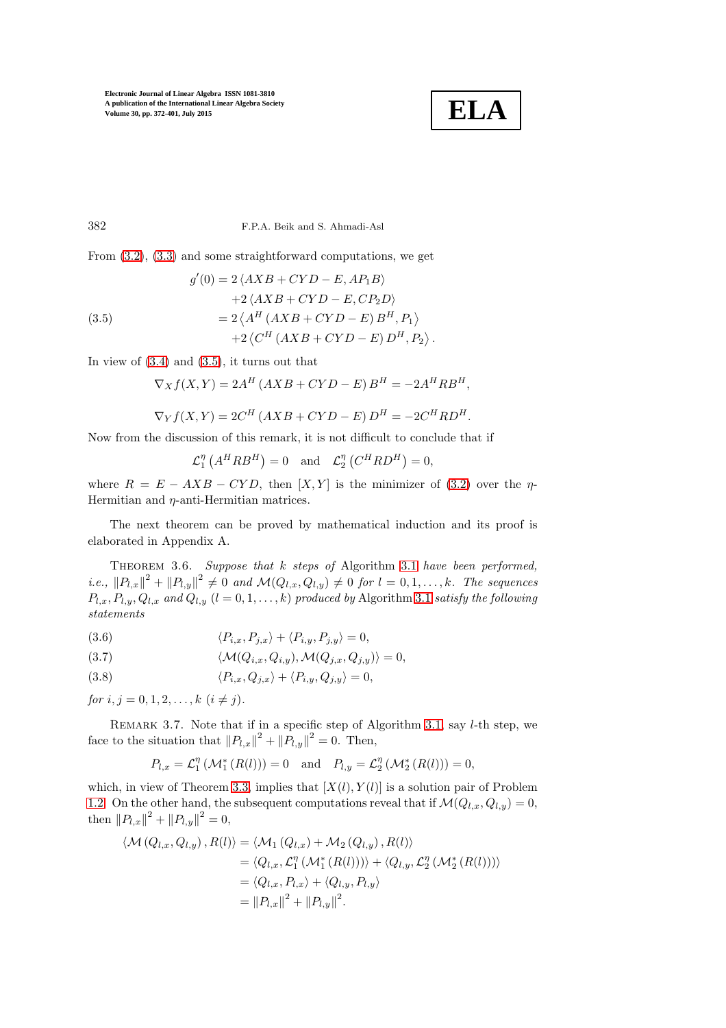

382 F.P.A. Beik and S. Ahmadi-Asl

From [\(3.2\)](#page-9-3), [\(3.3\)](#page-9-4) and some straightforward computations, we get

<span id="page-10-0"></span>(3.5)  
\n
$$
g'(0) = 2 \langle AXB + CYD - E, AP_1B \rangle
$$
\n
$$
+ 2 \langle AXB + CYD - E, CP_2D \rangle
$$
\n
$$
= 2 \langle A^H (AXB + CYD - E) B^H, P_1 \rangle
$$
\n
$$
+ 2 \langle C^H (AXB + CYD - E) D^H, P_2 \rangle.
$$

In view of  $(3.4)$  and  $(3.5)$ , it turns out that

$$
\nabla_X f(X, Y) = 2A^H (AXB + CYD - E) B^H = -2A^H R B^H,
$$

$$
\nabla_Y f(X, Y) = 2C^H (AXB + CYD - E) D^H = -2C^H R D^H.
$$

Now from the discussion of this remark, it is not difficult to conclude that if

$$
\mathcal{L}_1^{\eta} \left( A^H R B^H \right) = 0 \quad \text{and} \quad \mathcal{L}_2^{\eta} \left( C^H R D^H \right) = 0,
$$

where  $R = E - AXB - CYD$ , then  $[X, Y]$  is the minimizer of [\(3.2\)](#page-9-3) over the  $\eta$ -Hermitian and  $\eta$ -anti-Hermitian matrices.

<span id="page-10-1"></span>The next theorem can be proved by mathematical induction and its proof is elaborated in Appendix A.

THEOREM 3.6. Suppose that k steps of Algorithm [3.1](#page-8-0) have been performed, i.e.,  $||P_{l,x}||^2 + ||P_{l,y}||^2 \neq 0$  and  $\mathcal{M}(Q_{l,x}, Q_{l,y}) \neq 0$  for  $l = 0, 1, \ldots, k$ . The sequences  $P_{l,x}, P_{l,y}, Q_{l,x}$  and  $Q_{l,y}$   $(l = 0,1,\ldots,k)$  produced by Algorithm [3.1](#page-8-0) satisfy the following statements

<span id="page-10-2"></span>(3.6) 
$$
\langle P_{i,x}, P_{j,x} \rangle + \langle P_{i,y}, P_{j,y} \rangle = 0,
$$

(3.7) 
$$
\langle \mathcal{M}(Q_{i,x}, Q_{i,y}), \mathcal{M}(Q_{j,x}, Q_{j,y}) \rangle = 0,
$$

(3.8) 
$$
\langle P_{i,x}, Q_{j,x} \rangle + \langle P_{i,y}, Q_{j,y} \rangle = 0,
$$

for  $i, j = 0, 1, 2, \ldots, k$   $(i \neq j)$ .

REMARK 3.7. Note that if in a specific step of Algorithm [3.1,](#page-8-0) say *l*-th step, we face to the situation that  $||P_{l,x}||^2 + ||P_{l,y}||^2 = 0$ . Then,

$$
P_{l,x} = \mathcal{L}_1^{\eta}(\mathcal{M}_1^*(R(l))) = 0 \text{ and } P_{l,y} = \mathcal{L}_2^{\eta}(\mathcal{M}_2^*(R(l))) = 0,
$$

which, in view of Theorem [3.3,](#page-9-2) implies that  $[X(l), Y(l)]$  is a solution pair of Problem [1.2.](#page-4-2) On the other hand, the subsequent computations reveal that if  $\mathcal{M}(Q_{l,x}, Q_{l,y}) = 0$ , then  $||P_{l,x}||^2 + ||P_{l,y}||^2 = 0$ ,

$$
\langle \mathcal{M}(Q_{l,x}, Q_{l,y}), R(l) \rangle = \langle \mathcal{M}_1(Q_{l,x}) + \mathcal{M}_2(Q_{l,y}), R(l) \rangle
$$
  
\n
$$
= \langle Q_{l,x}, \mathcal{L}_1^{\eta}(\mathcal{M}_1^*(R(l))) \rangle + \langle Q_{l,y}, \mathcal{L}_2^{\eta}(\mathcal{M}_2^*(R(l))) \rangle
$$
  
\n
$$
= \langle Q_{l,x}, P_{l,x} \rangle + \langle Q_{l,y}, P_{l,y} \rangle
$$
  
\n
$$
= ||P_{l,x}||^2 + ||P_{l,y}||^2.
$$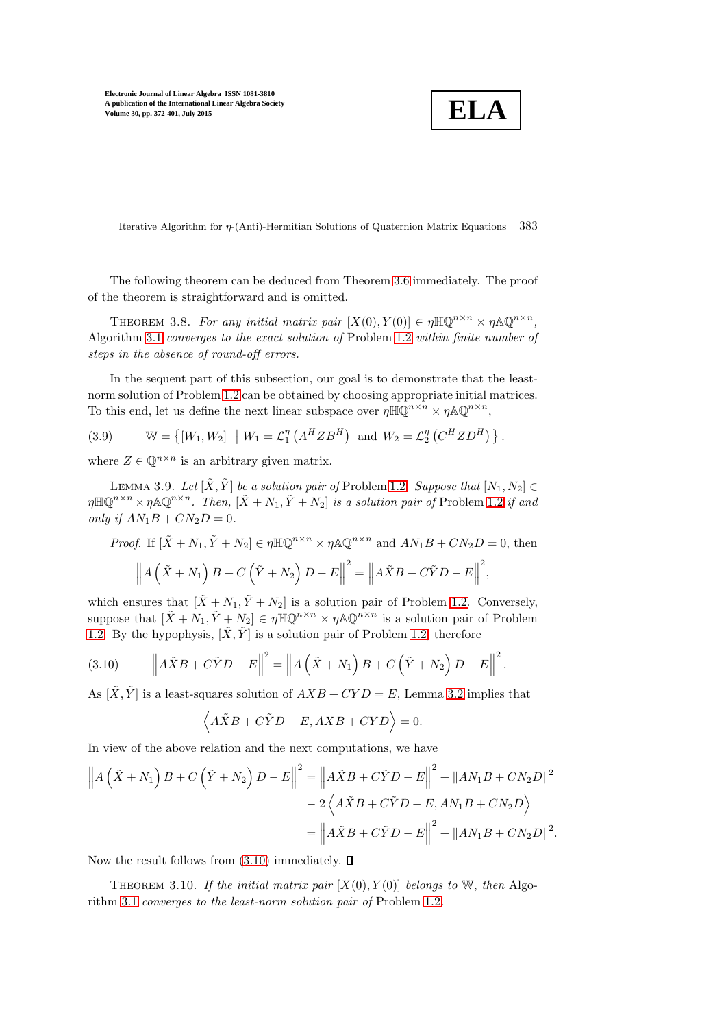$$
\boxed{\textbf{ELA}}
$$

Iterative Algorithm for  $\eta$ -(Anti)-Hermitian Solutions of Quaternion Matrix Equations 383

The following theorem can be deduced from Theorem [3.6](#page-10-1) immediately. The proof of the theorem is straightforward and is omitted.

THEOREM 3.8. For any initial matrix pair  $[X(0), Y(0)] \in \eta \mathbb{H} \mathbb{Q}^{n \times n} \times \eta \mathbb{A} \mathbb{Q}^{n \times n}$ , Algorithm [3.1](#page-8-0) converges to the exact solution of Problem [1.2](#page-4-2) within finite number of steps in the absence of round-off errors.

In the sequent part of this subsection, our goal is to demonstrate that the leastnorm solution of Problem [1.2](#page-4-2) can be obtained by choosing appropriate initial matrices. To this end, let us define the next linear subspace over  $\eta \mathbb{H} \mathbb{Q}^{n \times n} \times \eta \mathbb{A} \mathbb{Q}^{n \times n}$ ,

<span id="page-11-2"></span>(3.9) 
$$
\mathbb{W} = \left\{ [W_1, W_2] \mid W_1 = \mathcal{L}_1^{\eta} \left( A^H Z B^H \right) \text{ and } W_2 = \mathcal{L}_2^{\eta} \left( C^H Z D^H \right) \right\}.
$$

<span id="page-11-1"></span>where  $Z \in \mathbb{Q}^{n \times n}$  is an arbitrary given matrix.

LEMMA 3.9. Let  $[\tilde{X}, \tilde{Y}]$  be a solution pair of Problem [1.2](#page-4-2). Suppose that  $[N_1, N_2] \in$  $\eta \mathbb{H} \mathbb{Q}^{n \times n} \times \eta \mathbb{A} \mathbb{Q}^{n \times n}$ . Then,  $[\tilde{X} + N_1, \tilde{Y} + N_2]$  is a solution pair of Problem [1.2](#page-4-2) if and only if  $AN_1B + CN_2D = 0$ .

*Proof.* If 
$$
[\tilde{X} + N_1, \tilde{Y} + N_2] \in \eta \mathbb{H} \mathbb{Q}^{n \times n} \times \eta \mathbb{A} \mathbb{Q}^{n \times n}
$$
 and  $AN_1B + CN_2D = 0$ , then  

$$
\left\| A\left(\tilde{X} + N_1\right)B + C\left(\tilde{Y} + N_2\right)D - E \right\|^2 = \left\| A\tilde{X}B + C\tilde{Y}D - E \right\|^2,
$$

which ensures that  $[X + N_1, Y + N_2]$  is a solution pair of Problem [1.2.](#page-4-2) Conversely, suppose that  $[\tilde{X} + N_1, \tilde{Y} + N_2] \in \eta \mathbb{H} \mathbb{Q}^{n \times n} \times \eta \mathbb{A} \mathbb{Q}^{n \times n}$  is a solution pair of Problem [1.2.](#page-4-2) By the hypophysis,  $[\tilde{X}, \tilde{Y}]$  is a solution pair of Problem [1.2,](#page-4-2) therefore

<span id="page-11-0"></span>(3.10) 
$$
\left\|A\tilde{X}B+C\tilde{Y}D-E\right\|^2=\left\|A\left(\tilde{X}+N_1\right)B+C\left(\tilde{Y}+N_2\right)D-E\right\|^2.
$$

As  $[\tilde{X}, \tilde{Y}]$  is a least-squares solution of  $AXB + CYD = E$ , Lemma [3.2](#page-8-1) implies that

$$
\left\langle A\tilde{X}B+C\tilde{Y}D-E, AXB-CYD\right\rangle =0.
$$

In view of the above relation and the next computations, we have

$$
\left\| A\left(\tilde{X} + N_1\right) B + C\left(\tilde{Y} + N_2\right) D - E \right\|^2 = \left\| A\tilde{X}B + C\tilde{Y}D - E \right\|^2 + \left\| AN_1B + CN_2D \right\|^2
$$
  

$$
- 2\left\langle A\tilde{X}B + C\tilde{Y}D - E, AN_1B + CN_2D \right\rangle
$$
  

$$
= \left\| A\tilde{X}B + C\tilde{Y}D - E \right\|^2 + \left\| AN_1B + CN_2D \right\|^2.
$$

<span id="page-11-3"></span>Now the result follows from  $(3.10)$  immediately.  $\Box$ 

THEOREM 3.10. If the initial matrix pair  $[X(0), Y(0)]$  belongs to W, then Algorithm [3.1](#page-8-0) converges to the least-norm solution pair of Problem [1.2](#page-4-2).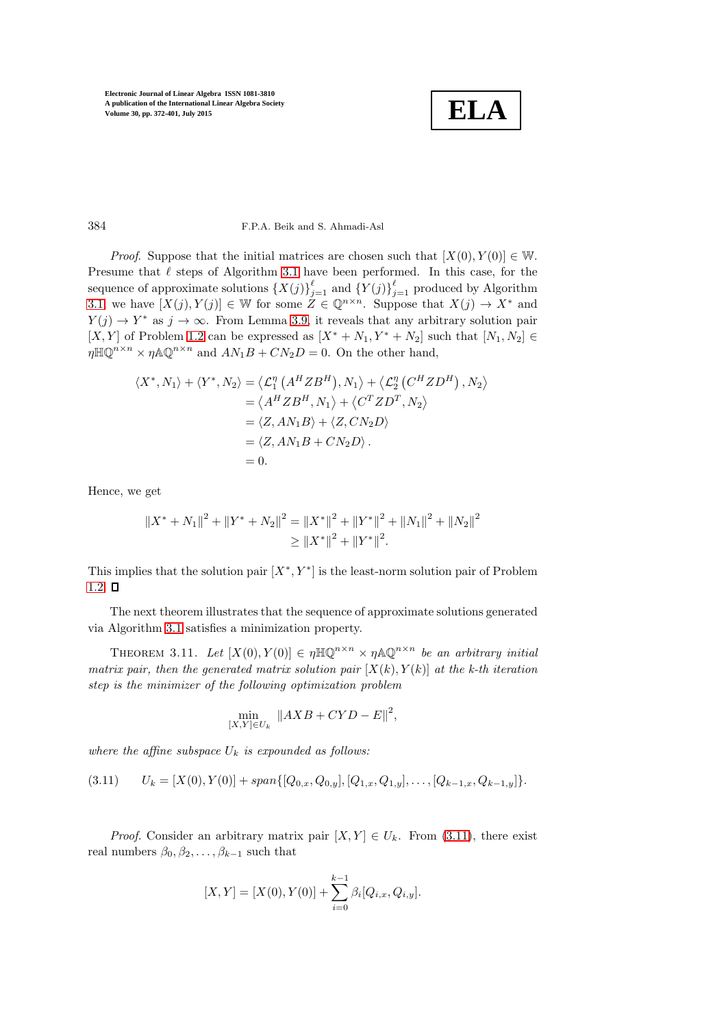

## 384 F.P.A. Beik and S. Ahmadi-Asl

*Proof.* Suppose that the initial matrices are chosen such that  $[X(0), Y(0)] \in W$ . Presume that  $\ell$  steps of Algorithm [3.1](#page-8-0) have been performed. In this case, for the sequence of approximate solutions  $\{X(j)\}_{j=1}^{\ell}$  and  $\{Y(j)\}_{j=1}^{\ell}$  produced by Algorithm [3.1,](#page-8-0) we have  $[X(j), Y(j)] \in \mathbb{W}$  for some  $Z \in \mathbb{Q}^{n \times n}$ . Suppose that  $X(j) \to X^*$  and  $Y(j) \to Y^*$  as  $j \to \infty$ . From Lemma [3.9,](#page-11-1) it reveals that any arbitrary solution pair [X, Y] of Problem [1.2](#page-4-2) can be expressed as  $[X^* + N_1, Y^* + N_2]$  such that  $[N_1, N_2] \in$  $\eta \mathbb{H} \mathbb{Q}^{n \times n} \times \eta \mathbb{A} \mathbb{Q}^{n \times n}$  and  $AN_1B + CN_2D = 0$ . On the other hand,

$$
\langle X^*, N_1 \rangle + \langle Y^*, N_2 \rangle = \langle \mathcal{L}_1^n \left( A^H Z B^H \right), N_1 \rangle + \langle \mathcal{L}_2^n \left( C^H Z D^H \right), N_2 \rangle
$$
  
\n
$$
= \langle A^H Z B^H, N_1 \rangle + \langle C^T Z D^T, N_2 \rangle
$$
  
\n
$$
= \langle Z, A N_1 B \rangle + \langle Z, C N_2 D \rangle
$$
  
\n
$$
= \langle Z, A N_1 B + C N_2 D \rangle.
$$
  
\n
$$
= 0.
$$

Hence, we get

$$
||X^* + N_1||^2 + ||Y^* + N_2||^2 = ||X^*||^2 + ||Y^*||^2 + ||N_1||^2 + ||N_2||^2
$$
  
\n
$$
\ge ||X^*||^2 + ||Y^*||^2.
$$

This implies that the solution pair  $[X^*, Y^*]$  is the least-norm solution pair of Problem [1.2.](#page-4-2)  $\square$ 

The next theorem illustrates that the sequence of approximate solutions generated via Algorithm [3.1](#page-8-0) satisfies a minimization property.

THEOREM 3.11. Let  $[X(0), Y(0)] \in \eta \mathbb{H} \mathbb{Q}^{n \times n} \times \eta \mathbb{A} \mathbb{Q}^{n \times n}$  be an arbitrary initial matrix pair, then the generated matrix solution pair  $[X(k), Y(k)]$  at the k-th iteration step is the minimizer of the following optimization problem

$$
\min_{[X,Y]\in U_k} \|AXB + CYD - E\|^2,
$$

where the affine subspace  $U_k$  is expounded as follows:

<span id="page-12-0"></span>(3.11)  $U_k = [X(0), Y(0)] + span{[Q_{0,x}, Q_{0,y}]}, [Q_{1,x}, Q_{1,y}], \ldots, [Q_{k-1,x}, Q_{k-1,y}]$ .

*Proof.* Consider an arbitrary matrix pair  $[X, Y] \in U_k$ . From [\(3.11\)](#page-12-0), there exist real numbers  $\beta_0, \beta_2, \ldots, \beta_{k-1}$  such that

$$
[X, Y] = [X(0), Y(0)] + \sum_{i=0}^{k-1} \beta_i [Q_{i,x}, Q_{i,y}].
$$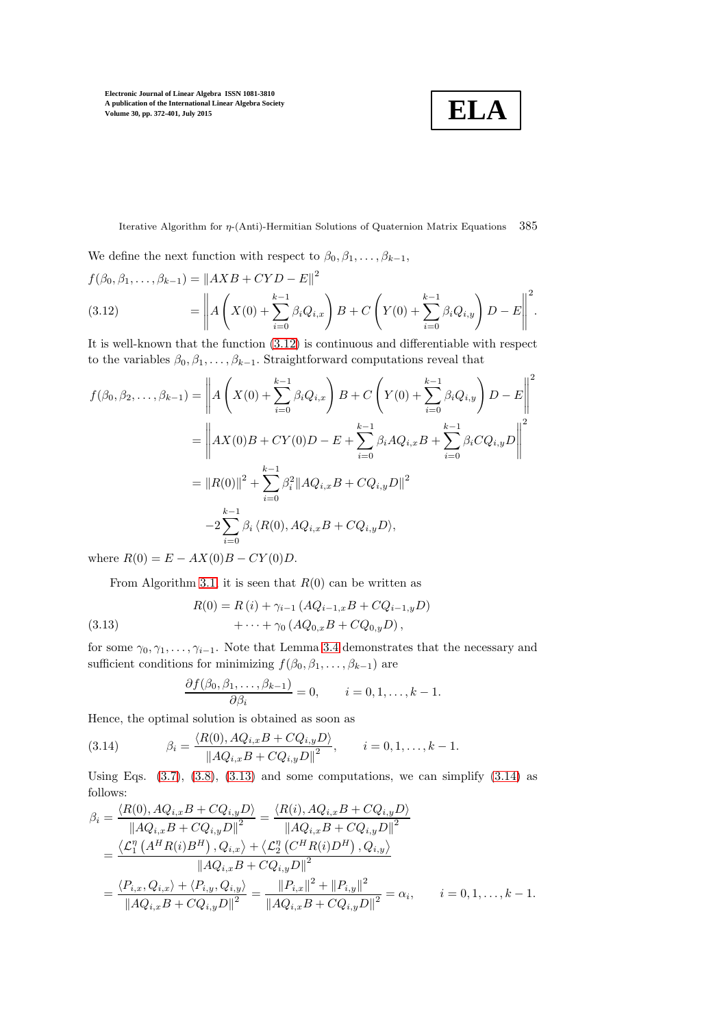**ELA**

Iterative Algorithm for  $\eta$ -(Anti)-Hermitian Solutions of Quaternion Matrix Equations 385

We define the next function with respect to  $\beta_0, \beta_1, \ldots, \beta_{k-1}$ ,

<span id="page-13-0"></span>
$$
f(\beta_0, \beta_1, ..., \beta_{k-1}) = ||AXB + CYD - E||^2
$$
  
(3.12) 
$$
= \left|| A \left(X(0) + \sum_{i=0}^{k-1} \beta_i Q_{i,x}\right) B + C \left(Y(0) + \sum_{i=0}^{k-1} \beta_i Q_{i,y}\right) D - E\right||^2.
$$

It is well-known that the function [\(3.12\)](#page-13-0) is continuous and differentiable with respect to the variables  $\beta_0, \beta_1, \ldots, \beta_{k-1}$ . Straightforward computations reveal that

$$
f(\beta_0, \beta_2, \dots, \beta_{k-1}) = \left\| A \left( X(0) + \sum_{i=0}^{k-1} \beta_i Q_{i,x} \right) B + C \left( Y(0) + \sum_{i=0}^{k-1} \beta_i Q_{i,y} \right) D - E \right\|^2
$$
  
= 
$$
\left\| AX(0)B + CY(0)D - E + \sum_{i=0}^{k-1} \beta_i A Q_{i,x} B + \sum_{i=0}^{k-1} \beta_i C Q_{i,y} D \right\|^2
$$
  
= 
$$
\| R(0) \|^2 + \sum_{i=0}^{k-1} \beta_i^2 \| A Q_{i,x} B + C Q_{i,y} D \|^2
$$
  
- 
$$
2 \sum_{i=0}^{k-1} \beta_i \langle R(0), A Q_{i,x} B + C Q_{i,y} D \rangle,
$$

where  $R(0) = E - AX(0)B - CY(0)D$ .

From Algorithm [3.1,](#page-8-0) it is seen that  $R(0)$  can be written as

(3.13) 
$$
R(0) = R(i) + \gamma_{i-1} (AQ_{i-1,x}B + CQ_{i-1,y}D) + \cdots + \gamma_0 (AQ_{0,x}B + CQ_{0,y}D),
$$

for some  $\gamma_0, \gamma_1, \ldots, \gamma_{i-1}$ . Note that Lemma [3.4](#page-9-1) demonstrates that the necessary and sufficient conditions for minimizing  $f(\beta_0, \beta_1, \ldots, \beta_{k-1})$  are

<span id="page-13-2"></span><span id="page-13-1"></span>
$$
\frac{\partial f(\beta_0, \beta_1, \dots, \beta_{k-1})}{\partial \beta_i} = 0, \qquad i = 0, 1, \dots, k-1.
$$

Hence, the optimal solution is obtained as soon as

(3.14) 
$$
\beta_i = \frac{\langle R(0), AQ_{i,x}B + CQ_{i,y}D \rangle}{\|AQ_{i,x}B + CQ_{i,y}D\|^2}, \qquad i = 0, 1, ..., k-1.
$$

Using Eqs.  $(3.7), (3.8), (3.13)$  $(3.7), (3.8), (3.13)$  $(3.7), (3.8), (3.13)$  $(3.7), (3.8), (3.13)$  and some computations, we can simplify  $(3.14)$  as follows:

$$
\beta_{i} = \frac{\langle R(0), AQ_{i,x}B + CQ_{i,y}D \rangle}{\|AQ_{i,x}B + CQ_{i,y}D\|^{2}} = \frac{\langle R(i), AQ_{i,x}B + CQ_{i,y}D \rangle}{\|AQ_{i,x}B + CQ_{i,y}D\|^{2}}
$$
  
\n
$$
= \frac{\langle \mathcal{L}_{1}^{n} (A^{H}R(i)B^{H}), Q_{i,x} \rangle + \langle \mathcal{L}_{2}^{n} (C^{H}R(i)D^{H}), Q_{i,y} \rangle}{\|AQ_{i,x}B + CQ_{i,y}D\|^{2}}
$$
  
\n
$$
= \frac{\langle P_{i,x}, Q_{i,x} \rangle + \langle P_{i,y}, Q_{i,y} \rangle}{\|AQ_{i,x}B + CQ_{i,y}D\|^{2}} = \frac{\|P_{i,x}\|^{2} + \|P_{i,y}\|^{2}}{\|AQ_{i,x}B + CQ_{i,y}D\|^{2}} = \alpha_{i}, \qquad i = 0, 1, ..., k - 1.
$$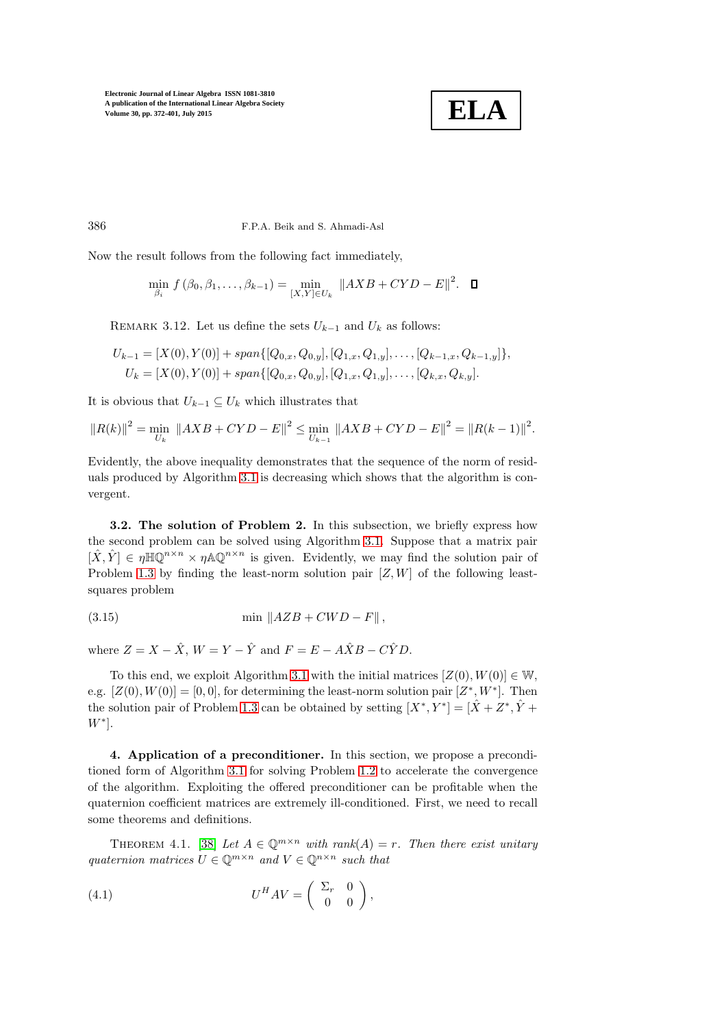

386 F.P.A. Beik and S. Ahmadi-Asl

Now the result follows from the following fact immediately,

 $\min_{\beta_i} f(\beta_0, \beta_1, \dots, \beta_{k-1}) = \min_{[X, Y] \in U_k} \|AXB + CYD - E\|^2.$ 

REMARK 3.12. Let us define the sets  $U_{k-1}$  and  $U_k$  as follows:

$$
U_{k-1} = [X(0), Y(0)] + span\{[Q_{0,x}, Q_{0,y}], [Q_{1,x}, Q_{1,y}], \dots, [Q_{k-1,x}, Q_{k-1,y}]\},
$$
  

$$
U_k = [X(0), Y(0)] + span\{[Q_{0,x}, Q_{0,y}], [Q_{1,x}, Q_{1,y}], \dots, [Q_{k,x}, Q_{k,y}].
$$

It is obvious that  $U_{k-1} \subseteq U_k$  which illustrates that

$$
||R(k)||^{2} = \min_{U_{k}} ||AXB + CYD - E||^{2} \leq \min_{U_{k-1}} ||AXB + CYD - E||^{2} = ||R(k-1)||^{2}.
$$

Evidently, the above inequality demonstrates that the sequence of the norm of residuals produced by Algorithm [3.1](#page-8-0) is decreasing which shows that the algorithm is convergent.

3.2. The solution of Problem 2. In this subsection, we briefly express how the second problem can be solved using Algorithm [3.1.](#page-8-0) Suppose that a matrix pair  $[\hat{X}, \hat{Y}] \in \eta \mathbb{H} \mathbb{Q}^{n \times n} \times \eta \mathbb{A} \mathbb{Q}^{n \times n}$  is given. Evidently, we may find the solution pair of Problem [1.3](#page-4-3) by finding the least-norm solution pair  $[Z, W]$  of the following leastsquares problem

<span id="page-14-2"></span>
$$
\min \|AZB + CWD - F\|,
$$

where  $Z = X - \hat{X}$ ,  $W = Y - \hat{Y}$  and  $F = E - A\hat{X}B - C\hat{Y}D$ .

To this end, we exploit Algorithm [3.1](#page-8-0) with the initial matrices  $[Z(0), W(0)] \in W$ , e.g.  $[Z(0), W(0)] = [0, 0]$ , for determining the least-norm solution pair  $[Z^*, W^*]$ . Then the solution pair of Problem [1.3](#page-4-3) can be obtained by setting  $[X^*, Y^*] = [\hat{X} + Z^*, \hat{Y} + Z^*]$  $W^*$ ].

<span id="page-14-0"></span>4. Application of a preconditioner. In this section, we propose a preconditioned form of Algorithm [3.1](#page-8-0) for solving Problem [1.2](#page-4-2) to accelerate the convergence of the algorithm. Exploiting the offered preconditioner can be profitable when the quaternion coefficient matrices are extremely ill-conditioned. First, we need to recall some theorems and definitions.

THEOREM 4.1. [\[38\]](#page-26-13) Let  $A \in \mathbb{Q}^{m \times n}$  with rank(A) = r. Then there exist unitary quaternion matrices  $U \in \mathbb{Q}^{m \times n}$  and  $V \in \mathbb{Q}^{n \times n}$  such that

<span id="page-14-1"></span>(4.1) 
$$
U^H A V = \begin{pmatrix} \Sigma_r & 0 \\ 0 & 0 \end{pmatrix},
$$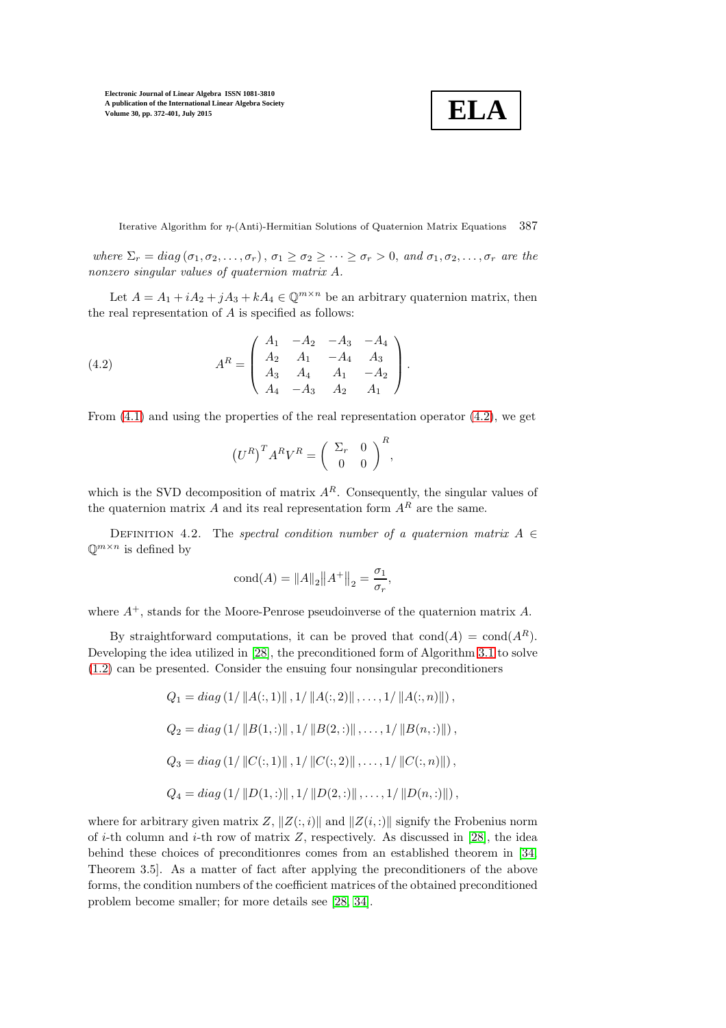$$
\boxed{\textbf{ELA}}
$$

Iterative Algorithm for  $\eta$ -(Anti)-Hermitian Solutions of Quaternion Matrix Equations 387

where  $\Sigma_r = diag(\sigma_1, \sigma_2, \ldots, \sigma_r), \sigma_1 \geq \sigma_2 \geq \cdots \geq \sigma_r > 0$ , and  $\sigma_1, \sigma_2, \ldots, \sigma_r$  are the nonzero singular values of quaternion matrix A.

Let  $A = A_1 + iA_2 + jA_3 + kA_4 \in \mathbb{Q}^{m \times n}$  be an arbitrary quaternion matrix, then the real representation of  $A$  is specified as follows:

(4.2) 
$$
A^{R} = \begin{pmatrix} A_{1} & -A_{2} & -A_{3} & -A_{4} \\ A_{2} & A_{1} & -A_{4} & A_{3} \\ A_{3} & A_{4} & A_{1} & -A_{2} \\ A_{4} & -A_{3} & A_{2} & A_{1} \end{pmatrix}.
$$

From  $(4.1)$  and using the properties of the real representation operator  $(4.2)$ , we get

<span id="page-15-0"></span>
$$
\left(U^R\right)^T A^R V^R = \left(\begin{array}{cc} \Sigma_r & 0\\ 0 & 0 \end{array}\right)^R,
$$

which is the SVD decomposition of matrix  $A<sup>R</sup>$ . Consequently, the singular values of the quaternion matrix A and its real representation form  $A<sup>R</sup>$  are the same.

DEFINITION 4.2. The spectral condition number of a quaternion matrix  $A \in$  $\mathbb{Q}^{m \times n}$  is defined by

$$
\text{cond}(A) = \|A\|_2 \|A^+\|_2 = \frac{\sigma_1}{\sigma_r},
$$

where  $A^+$ , stands for the Moore-Penrose pseudoinverse of the quaternion matrix A.

By straightforward computations, it can be proved that  $\text{cond}(A) = \text{cond}(A^R)$ . Developing the idea utilized in [\[28\]](#page-25-15), the preconditioned form of Algorithm [3.1](#page-8-0) to solve [\(1.2\)](#page-4-4) can be presented. Consider the ensuing four nonsingular preconditioners

$$
Q_1 = diag (1/ ||A(:,1)||, 1/ ||A(:,2)||, ..., 1/ ||A(:,n)||),
$$
  
\n
$$
Q_2 = diag (1/ ||B(1,:)||, 1/ ||B(2,:)||, ..., 1/ ||B(n,:)||),
$$
  
\n
$$
Q_3 = diag (1/ ||C(:,1)||, 1/ ||C(:,2)||, ..., 1/ ||C(:,n)||),
$$
  
\n
$$
Q_4 = diag (1/ ||D(1,:)||, 1/ ||D(2,:)||, ..., 1/ ||D(n,:)||),
$$

where for arbitrary given matrix Z,  $||Z(:, i)||$  and  $||Z(i, :)||$  signify the Frobenius norm of *i*-th column and *i*-th row of matrix  $Z$ , respectively. As discussed in [\[28\]](#page-25-15), the idea behind these choices of preconditionres comes from an established theorem in [\[34,](#page-26-14) Theorem 3.5]. As a matter of fact after applying the preconditioners of the above forms, the condition numbers of the coefficient matrices of the obtained preconditioned problem become smaller; for more details see [\[28,](#page-25-15) [34\]](#page-26-14).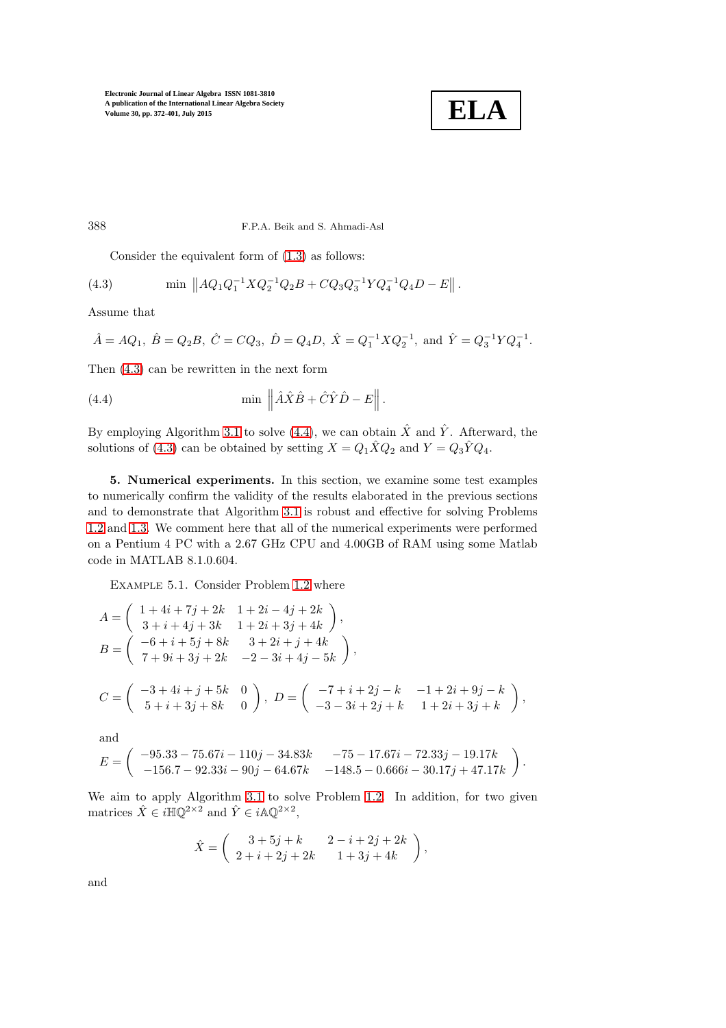

388 F.P.A. Beik and S. Ahmadi-Asl

<span id="page-16-1"></span>Consider the equivalent form of [\(1.3\)](#page-4-5) as follows:

(4.3) min 
$$
||AQ_1Q_1^{-1}XQ_2^{-1}Q_2B + CQ_3Q_3^{-1}YQ_4^{-1}Q_4D - E||
$$
.

Assume that

$$
\hat{A} = AQ_1
$$
,  $\hat{B} = Q_2B$ ,  $\hat{C} = CQ_3$ ,  $\hat{D} = Q_4D$ ,  $\hat{X} = Q_1^{-1}XQ_2^{-1}$ , and  $\hat{Y} = Q_3^{-1}YQ_4^{-1}$ .

Then [\(4.3\)](#page-16-1) can be rewritten in the next form

<span id="page-16-2"></span>(4.4) 
$$
\min \left\| \hat{A}\hat{X}\hat{B} + \hat{C}\hat{Y}\hat{D} - E \right\|.
$$

<span id="page-16-0"></span>By employing Algorithm [3.1](#page-8-0) to solve [\(4.4\)](#page-16-2), we can obtain  $\hat{X}$  and  $\hat{Y}$ . Afterward, the solutions of [\(4.3\)](#page-16-1) can be obtained by setting  $X = Q_1 \hat{X} Q_2$  and  $Y = Q_3 \hat{Y} Q_4$ .

5. Numerical experiments. In this section, we examine some test examples to numerically confirm the validity of the results elaborated in the previous sections and to demonstrate that Algorithm [3.1](#page-8-0) is robust and effective for solving Problems [1.2](#page-4-2) and [1.3.](#page-4-3) We comment here that all of the numerical experiments were performed on a Pentium 4 PC with a 2.67 GHz CPU and 4.00GB of RAM using some Matlab code in MATLAB 8.1.0.604.

<span id="page-16-3"></span>Example 5.1. Consider Problem [1.2](#page-4-2) where

$$
A = \begin{pmatrix} 1+4i+7j+2k & 1+2i-4j+2k \\ 3+i+4j+3k & 1+2i+3j+4k \end{pmatrix},
$$
  
\n
$$
B = \begin{pmatrix} -6+i+5j+8k & 3+2i+j+4k \\ 7+9i+3j+2k & -2-3i+4j-5k \end{pmatrix},
$$
  
\n
$$
C = \begin{pmatrix} -3+4i+j+5k & 0 \\ 5+i+3j+8k & 0 \end{pmatrix}, D = \begin{pmatrix} -7+i+2j-k & -1+2i+9j-k \\ -3-3i+2j+k & 1+2i+3j+k \end{pmatrix},
$$
 and

$$
E = \left( \begin{array}{cc} -95.33 - 75.67i - 110j - 34.83k & -75 - 17.67i - 72.33j - 19.17k \\ -156.7 - 92.33i - 90j - 64.67k & -148.5 - 0.666i - 30.17j + 47.17k \end{array} \right).
$$

We aim to apply Algorithm [3.1](#page-8-0) to solve Problem [1.2.](#page-4-2) In addition, for two given matrices  $\hat{X} \in i\mathbb{H}\mathbb{Q}^{2\times 2}$  and  $\hat{Y} \in i\mathbb{A}\mathbb{Q}^{2\times 2}$ ,

$$
\hat{X} = \begin{pmatrix} 3+5j+k & 2-i+2j+2k \\ 2+i+2j+2k & 1+3j+4k \end{pmatrix},
$$

and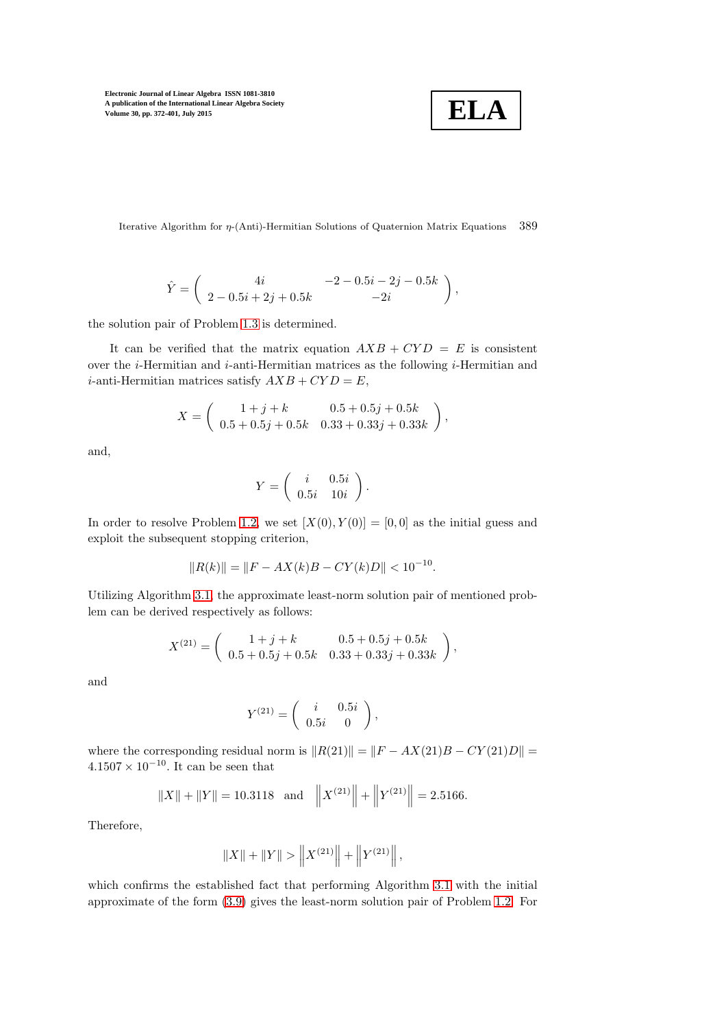$$
\boxed{\textbf{ELA}}
$$

Iterative Algorithm for η-(Anti)-Hermitian Solutions of Quaternion Matrix Equations 389

$$
\hat{Y} = \begin{pmatrix} 4i & -2 - 0.5i - 2j - 0.5k \\ 2 - 0.5i + 2j + 0.5k & -2i \end{pmatrix},
$$

the solution pair of Problem [1.3](#page-4-3) is determined.

It can be verified that the matrix equation  $AXB + CYD = E$  is consistent over the  $i$ -Hermitian and  $i$ -anti-Hermitian matrices as the following  $i$ -Hermitian and *i*-anti-Hermitian matrices satisfy  $AXB + CYD = E$ ,

$$
X = \begin{pmatrix} 1+j+k & 0.5+0.5j+0.5k \\ 0.5+0.5j+0.5k & 0.33+0.33j+0.33k \end{pmatrix},
$$

and,

$$
Y = \left( \begin{array}{cc} i & 0.5i \\ 0.5i & 10i \end{array} \right).
$$

In order to resolve Problem [1.2,](#page-4-2) we set  $[X(0), Y(0)] = [0, 0]$  as the initial guess and exploit the subsequent stopping criterion,

$$
||R(k)|| = ||F - AX(k)B - CY(k)D|| < 10^{-10}.
$$

Utilizing Algorithm [3.1,](#page-8-0) the approximate least-norm solution pair of mentioned problem can be derived respectively as follows:

$$
X^{(21)} = \begin{pmatrix} 1+j+k & 0.5+0.5j+0.5k \\ 0.5+0.5j+0.5k & 0.33+0.33j+0.33k \end{pmatrix},
$$

and

$$
Y^{(21)} = \left(\begin{array}{cc} i & 0.5i \\ 0.5i & 0 \end{array}\right),
$$

where the corresponding residual norm is  $||R(21)|| = ||F - AX(21)B - CY(21)D|| =$  $4.1507 \times 10^{-10}$ . It can be seen that

$$
||X|| + ||Y|| = 10.3118
$$
 and  $||X^{(21)}|| + ||Y^{(21)}|| = 2.5166$ .

Therefore,

$$
||X|| + ||Y|| > ||X^{(21)}|| + ||Y^{(21)}||,
$$

which confirms the established fact that performing Algorithm [3.1](#page-8-0) with the initial approximate of the form [\(3.9\)](#page-11-2) gives the least-norm solution pair of Problem [1.2.](#page-4-2) For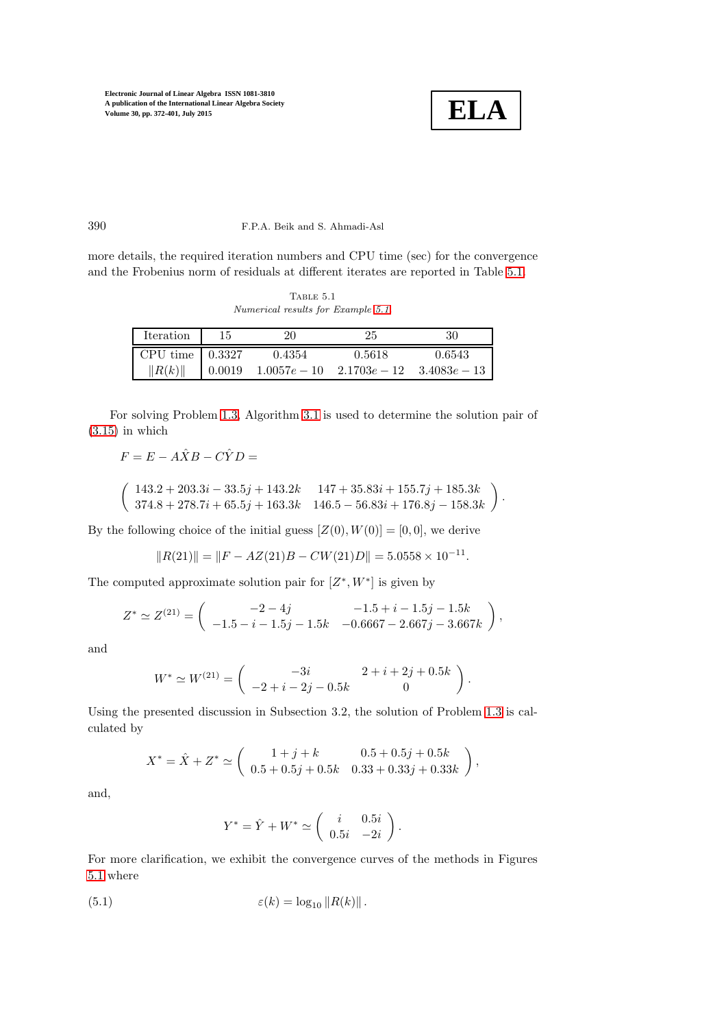

.

390 F.P.A. Beik and S. Ahmadi-Asl

more details, the required iteration numbers and CPU time (sec) for the convergence and the Frobenius norm of residuals at different iterates are reported in Table [5.1.](#page-18-0)

<span id="page-18-0"></span>TABLE  $5.1$ *Numerical results for Example [5.1.](#page-16-3)*

| Iteration                     | 15     | 20             | 25                            | 30     |
|-------------------------------|--------|----------------|-------------------------------|--------|
| CPU time $\vert 0.3327 \vert$ |        | 0.4354         | 0.5618                        | 0.6543 |
| R(k)                          | 0.0019 | $1.0057e - 10$ | $2.1703e - 12$ $3.4083e - 13$ |        |

For solving Problem [1.3,](#page-4-3) Algorithm [3.1](#page-8-0) is used to determine the solution pair of  $(3.15)$  in which

$$
F = E - A\hat{X}B - C\hat{Y}D =
$$

$$
\left(\begin{array}{cc} 143.2 + 203.3i - 33.5j + 143.2k & 147 + 35.83i + 155.7j + 185.3k \\ 374.8 + 278.7i + 65.5j + 163.3k & 146.5 - 56.83i + 176.8j - 158.3k \end{array}\right).
$$

By the following choice of the initial guess  $[Z(0), W(0)] = [0, 0]$ , we derive

$$
||R(21)|| = ||F - AZ(21)B - CW(21)D|| = 5.0558 \times 10^{-11}
$$

The computed approximate solution pair for  $[Z^*, W^*]$  is given by

$$
Z^* \simeq Z^{(21)} = \begin{pmatrix} -2 - 4j & -1.5 + i - 1.5j - 1.5k \\ -1.5 - i - 1.5j - 1.5k & -0.6667 - 2.667j - 3.667k \end{pmatrix},
$$

and

$$
W^* \simeq W^{(21)} = \begin{pmatrix} -3i & 2+i+2j+0.5k \\ -2+i-2j-0.5k & 0 \end{pmatrix}.
$$

Using the presented discussion in Subsection 3.2, the solution of Problem [1.3](#page-4-3) is calculated by

$$
X^* = \hat{X} + Z^* \simeq \begin{pmatrix} 1+j+k & 0.5+0.5j+0.5k \\ 0.5+0.5j+0.5k & 0.33+0.33j+0.33k \end{pmatrix},
$$

and,

<span id="page-18-1"></span>
$$
Y^* = \hat{Y} + W^* \simeq \begin{pmatrix} i & 0.5i \\ 0.5i & -2i \end{pmatrix}.
$$

For more clarification, we exhibit the convergence curves of the methods in Figures [5.1](#page-19-0) where

(5.1) 
$$
\varepsilon(k) = \log_{10} ||R(k)||.
$$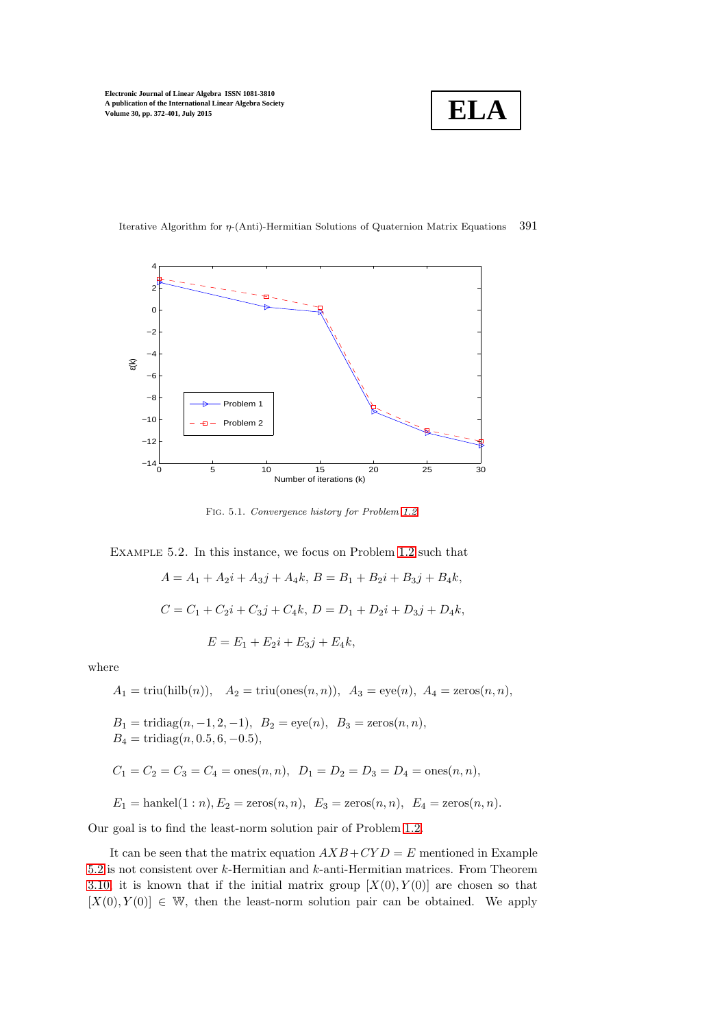



Iterative Algorithm for η-(Anti)-Hermitian Solutions of Quaternion Matrix Equations 391

<span id="page-19-0"></span>Fig. 5.1. *Convergence history for Problem [1.2.](#page-4-2)*

<span id="page-19-1"></span>Example 5.2. In this instance, we focus on Problem [1.2](#page-4-2) such that

$$
A = A_1 + A_2i + A_3j + A_4k, B = B_1 + B_2i + B_3j + B_4k,
$$
  
\n
$$
C = C_1 + C_2i + C_3j + C_4k, D = D_1 + D_2i + D_3j + D_4k,
$$
  
\n
$$
E = E_1 + E_2i + E_3j + E_4k,
$$

where

$$
A_1 = \text{triu}(\text{hilb}(n)), \quad A_2 = \text{triu}(\text{ones}(n, n)), \quad A_3 = \text{eye}(n), \quad A_4 = \text{zeros}(n, n),
$$

 $B_1 = \text{tridiag}(n, -1, 2, -1), \ B_2 = \text{eye}(n), \ B_3 = \text{zeros}(n, n),$  $B_4 = \text{tridiag}(n, 0.5, 6, -0.5),$ 

$$
C_1 = C_2 = C_3 = C_4 = \text{ones}(n, n), D_1 = D_2 = D_3 = D_4 = \text{ones}(n, n),
$$

 $E_1 = \text{hankel}(1:n), E_2 = \text{zeros}(n, n), E_3 = \text{zeros}(n, n), E_4 = \text{zeros}(n, n).$ 

Our goal is to find the least-norm solution pair of Problem [1.2.](#page-4-2)

It can be seen that the matrix equation  $AXB+CYD = E$  mentioned in Example [5.2](#page-19-1) is not consistent over k-Hermitian and k-anti-Hermitian matrices. From Theorem [3.10,](#page-11-3) it is known that if the initial matrix group  $[X(0), Y(0)]$  are chosen so that  $[X(0), Y(0)] \in \mathbb{W}$ , then the least-norm solution pair can be obtained. We apply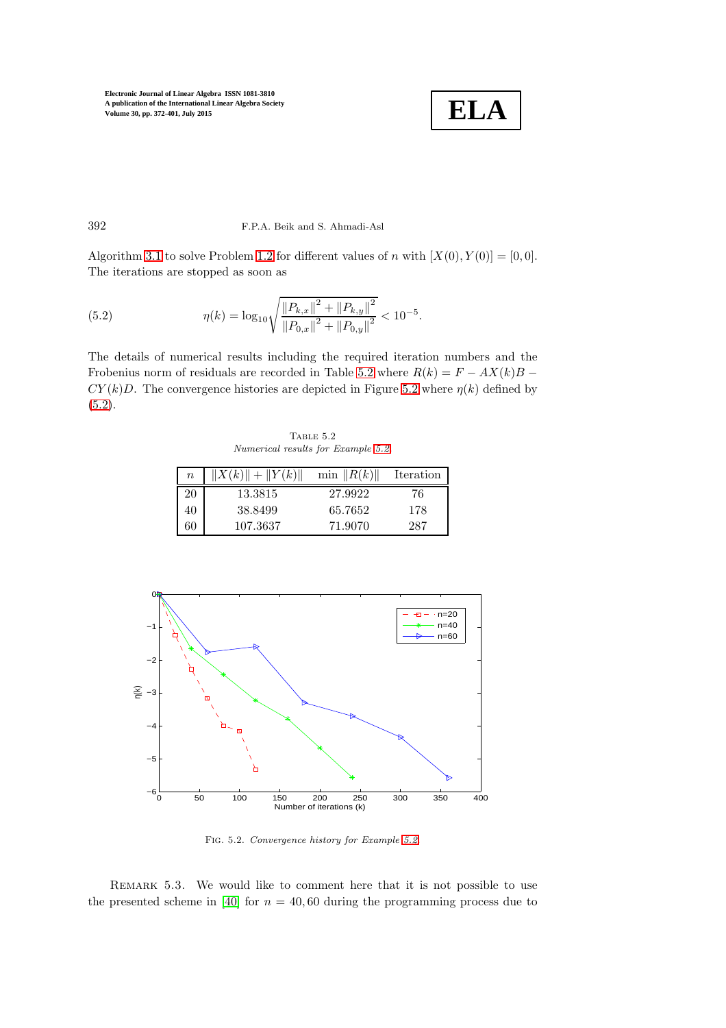

### 392 F.P.A. Beik and S. Ahmadi-Asl

Algorithm [3.1](#page-8-0) to solve Problem [1.2](#page-4-2) for different values of n with  $[X(0), Y(0)] = [0, 0]$ . The iterations are stopped as soon as

<span id="page-20-2"></span>(5.2) 
$$
\eta(k) = \log_{10} \sqrt{\frac{\|P_{k,x}\|^2 + \|P_{k,y}\|^2}{\|P_{0,x}\|^2 + \|P_{0,y}\|^2}} < 10^{-5}.
$$

The details of numerical results including the required iteration numbers and the Frobenius norm of residuals are recorded in Table [5.2](#page-20-0) where  $R(k) = F - AX(k)B$  –  $CY(k)D$ . The convergence histories are depicted in Figure [5.2](#page-20-1) where  $\eta(k)$  defined by  $(5.2).$  $(5.2).$ 

<span id="page-20-0"></span>TABLE  $5.2$ *Numerical results for Example [5.2.](#page-19-1)*

| $\boldsymbol{n}$ | $  X(k)   +   Y(k)  $ | $\min$ $  R(k)  $ | Iteration |
|------------------|-----------------------|-------------------|-----------|
| 20               | 13.3815               | 27.9922           | 76        |
| 40               | 38.8499               | 65.7652           | 178       |
| 60               | 107.3637              | 71.9070           | 287       |



<span id="page-20-1"></span>Fig. 5.2. *Convergence history for Example [5.2.](#page-19-1)*

REMARK 5.3. We would like to comment here that it is not possible to use the presented scheme in [\[40\]](#page-26-4) for  $n = 40,60$  during the programming process due to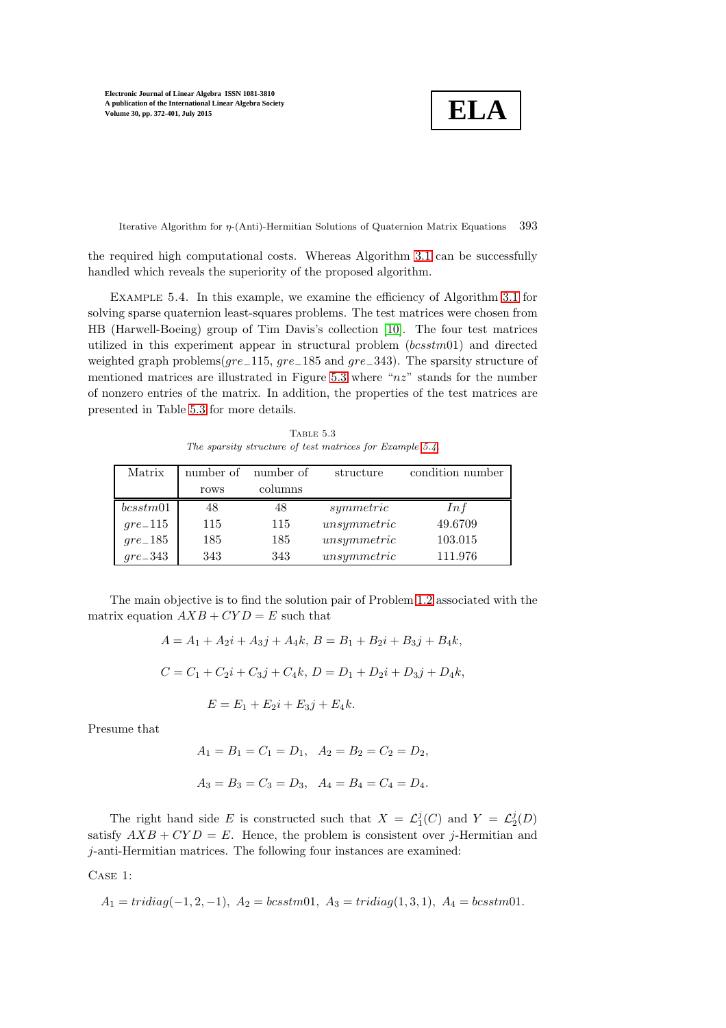**ELA**

Iterative Algorithm for η-(Anti)-Hermitian Solutions of Quaternion Matrix Equations 393

<span id="page-21-1"></span>the required high computational costs. Whereas Algorithm [3.1](#page-8-0) can be successfully handled which reveals the superiority of the proposed algorithm.

EXAMPLE 5.4. In this example, we examine the efficiency of Algorithm [3.1](#page-8-0) for solving sparse quaternion least-squares problems. The test matrices were chosen from HB (Harwell-Boeing) group of Tim Davis's collection [\[10\]](#page-25-22). The four test matrices utilized in this experiment appear in structural problem  $(bcsstm01)$  and directed weighted graph problems( $gre_115$ ,  $gre_185$  and  $gre_343$ ). The sparsity structure of mentioned matrices are illustrated in Figure [5.3](#page-22-0) where " $nz$ " stands for the number of nonzero entries of the matrix. In addition, the properties of the test matrices are presented in Table [5.3](#page-21-0) for more details.

<span id="page-21-0"></span>TABLE  $5.3\,$ *The sparsity structure of test matrices for Example [5.4.](#page-21-1)*

| Matrix     | number of | number of | structure   | condition number |
|------------|-----------|-----------|-------------|------------------|
|            | rows      | columns   |             |                  |
| bcsstm01   | 48        | 48        | symmetric   | Inf              |
| $gre\_115$ | 115       | 115       | unsymmetric | 49.6709          |
| $gre\_185$ | 185       | 185       | unsymmetric | 103.015          |
| $gre\_343$ | 343       | 343       | unsymmetric | 111.976          |

The main objective is to find the solution pair of Problem [1.2](#page-4-2) associated with the matrix equation  $AXB + CYD = E$  such that

$$
A = A_1 + A_2i + A_3j + A_4k, B = B_1 + B_2i + B_3j + B_4k,
$$
  
\n
$$
C = C_1 + C_2i + C_3j + C_4k, D = D_1 + D_2i + D_3j + D_4k,
$$
  
\n
$$
E = E_1 + E_2i + E_3j + E_4k.
$$

Presume that

$$
A_1 = B_1 = C_1 = D_1
$$
,  $A_2 = B_2 = C_2 = D_2$ ,  
 $A_3 = B_3 = C_3 = D_3$ ,  $A_4 = B_4 = C_4 = D_4$ .

The right hand side E is constructed such that  $X = \mathcal{L}_1^j(C)$  and  $Y = \mathcal{L}_2^j(D)$ satisfy  $AXB + CYD = E$ . Hence, the problem is consistent over *j*-Hermitian and j-anti-Hermitian matrices. The following four instances are examined:

Case 1:

$$
A_1 = tridiag(-1, 2, -1), A_2 = bcsstm01, A_3 = tridiag(1, 3, 1), A_4 = bcsstm01.
$$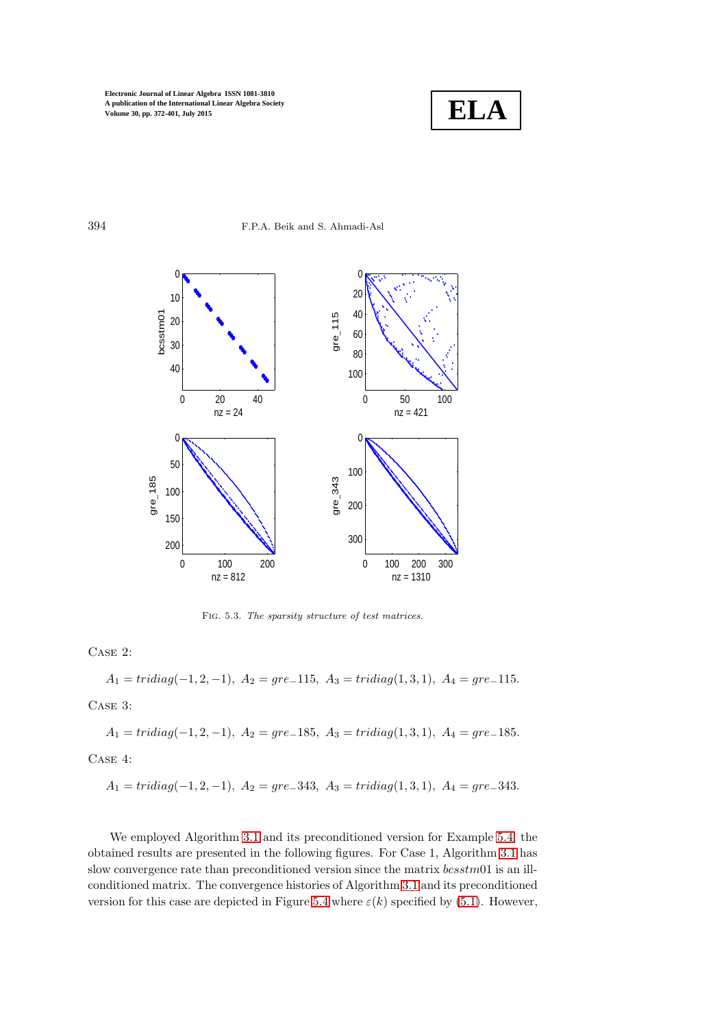

394 F.P.A. Beik and S. Ahmadi-Asl



<span id="page-22-0"></span>Fig. 5.3. *The sparsity structure of test matrices.*

Case 2:

 $A_1 = tridiag(-1, 2, -1), A_2 = gre_1115, A_3 = tridiag(1, 3, 1), A_4 = gre_1115.$ Case 3:

 $A_1 = tridiag(-1, 2, -1), A_2 = gre_185, A_3 = tridiag(1, 3, 1), A_4 = gre_185.$ 

Case 4:

$$
A_1 = tridiag(-1, 2, -1), A_2 = gre\_343, A_3 = tridiag(1, 3, 1), A_4 = gre\_343.
$$

We employed Algorithm [3.1](#page-8-0) and its preconditioned version for Example [5.4,](#page-21-1) the obtained results are presented in the following figures. For Case 1, Algorithm [3.1](#page-8-0) has slow convergence rate than preconditioned version since the matrix  $bcsstm01$  is an illconditioned matrix. The convergence histories of Algorithm [3.1](#page-8-0) and its preconditioned version for this case are depicted in Figure [5.4](#page-23-1) where  $\varepsilon(k)$  specified by [\(5.1\)](#page-18-1). However,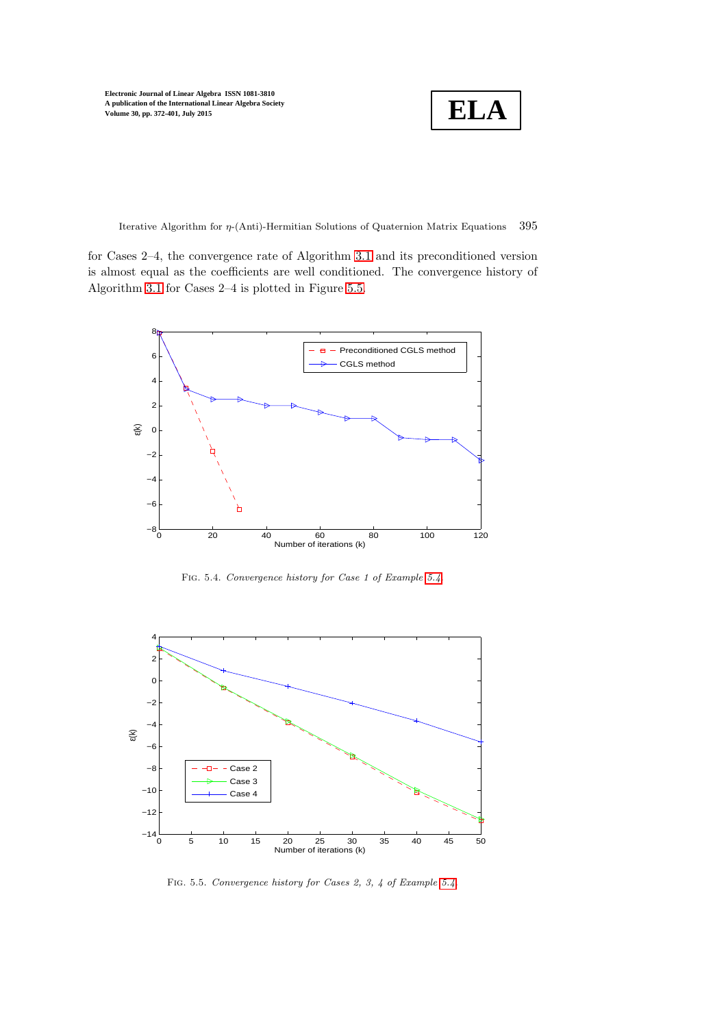**ELA**

Iterative Algorithm for  $\eta$ -(Anti)-Hermitian Solutions of Quaternion Matrix Equations 395

for Cases 2–4, the convergence rate of Algorithm [3.1](#page-8-0) and its preconditioned version is almost equal as the coefficients are well conditioned. The convergence history of Algorithm [3.1](#page-8-0) for Cases 2–4 is plotted in Figure [5.5.](#page-23-2)



<span id="page-23-1"></span>Fig. 5.4. *Convergence history for Case 1 of Example [5.4.](#page-21-1)*



<span id="page-23-2"></span><span id="page-23-0"></span>Fig. 5.5. *Convergence history for Cases 2, 3, 4 of Example [5.4.](#page-21-1)*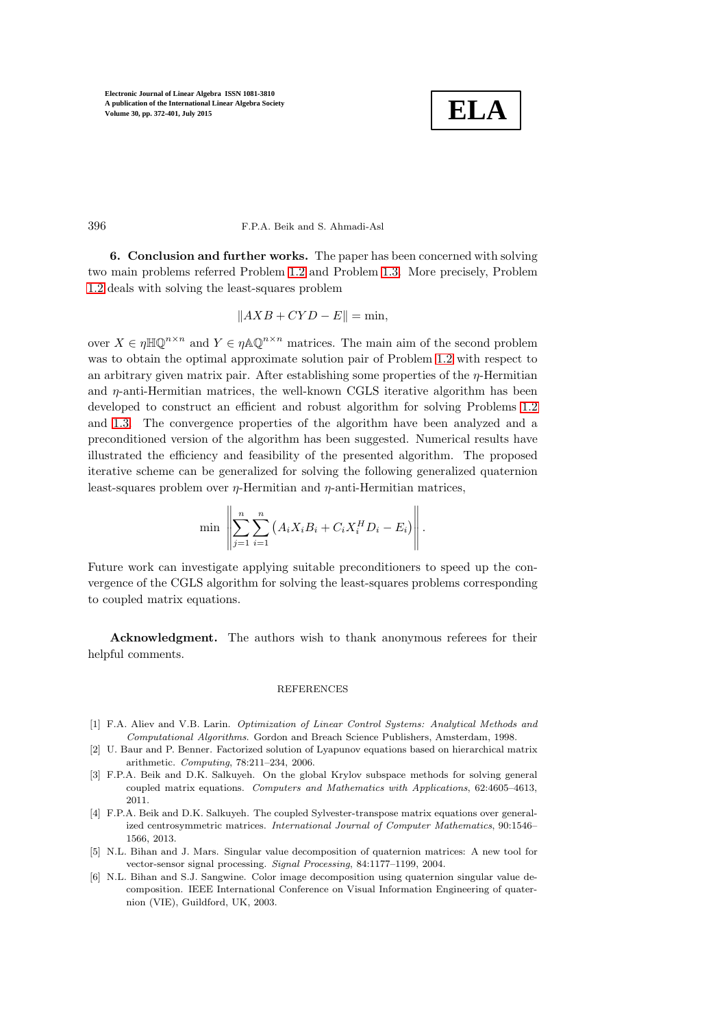

396 F.P.A. Beik and S. Ahmadi-Asl

6. Conclusion and further works. The paper has been concerned with solving two main problems referred Problem [1.2](#page-4-2) and Problem [1.3.](#page-4-3) More precisely, Problem [1.2](#page-4-2) deals with solving the least-squares problem

$$
||AXB + CYD - E|| = \min,
$$

over  $X \in \eta \mathbb{H} \mathbb{Q}^{n \times n}$  and  $Y \in \eta \mathbb{A} \mathbb{Q}^{n \times n}$  matrices. The main aim of the second problem was to obtain the optimal approximate solution pair of Problem [1.2](#page-4-2) with respect to an arbitrary given matrix pair. After establishing some properties of the η-Hermitian and  $\eta$ -anti-Hermitian matrices, the well-known CGLS iterative algorithm has been developed to construct an efficient and robust algorithm for solving Problems [1.2](#page-4-2) and [1.3.](#page-4-3) The convergence properties of the algorithm have been analyzed and a preconditioned version of the algorithm has been suggested. Numerical results have illustrated the efficiency and feasibility of the presented algorithm. The proposed iterative scheme can be generalized for solving the following generalized quaternion least-squares problem over  $\eta$ -Hermitian and  $\eta$ -anti-Hermitian matrices,

$$
\min \left\| \sum_{j=1}^{n} \sum_{i=1}^{n} \left( A_i X_i B_i + C_i X_i^H D_i - E_i \right) \right\|.
$$

Future work can investigate applying suitable preconditioners to speed up the convergence of the CGLS algorithm for solving the least-squares problems corresponding to coupled matrix equations.

Acknowledgment. The authors wish to thank anonymous referees for their helpful comments.

### REFERENCES

- <span id="page-24-0"></span>[1] F.A. Aliev and V.B. Larin. *Optimization of Linear Control Systems: Analytical Methods and Computational Algorithms*. Gordon and Breach Science Publishers, Amsterdam, 1998.
- <span id="page-24-1"></span>[2] U. Baur and P. Benner. Factorized solution of Lyapunov equations based on hierarchical matrix arithmetic. *Computing*, 78:211–234, 2006.
- <span id="page-24-2"></span>[3] F.P.A. Beik and D.K. Salkuyeh. On the global Krylov subspace methods for solving general coupled matrix equations. *Computers and Mathematics with Applications*, 62:4605–4613, 2011.
- <span id="page-24-3"></span>[4] F.P.A. Beik and D.K. Salkuyeh. The coupled Sylvester-transpose matrix equations over generalized centrosymmetric matrices. *International Journal of Computer Mathematics*, 90:1546– 1566, 2013.
- <span id="page-24-4"></span>[5] N.L. Bihan and J. Mars. Singular value decomposition of quaternion matrices: A new tool for vector-sensor signal processing. *Signal Processing*, 84:1177–1199, 2004.
- <span id="page-24-5"></span>[6] N.L. Bihan and S.J. Sangwine. Color image decomposition using quaternion singular value decomposition. IEEE International Conference on Visual Information Engineering of quaternion (VIE), Guildford, UK, 2003.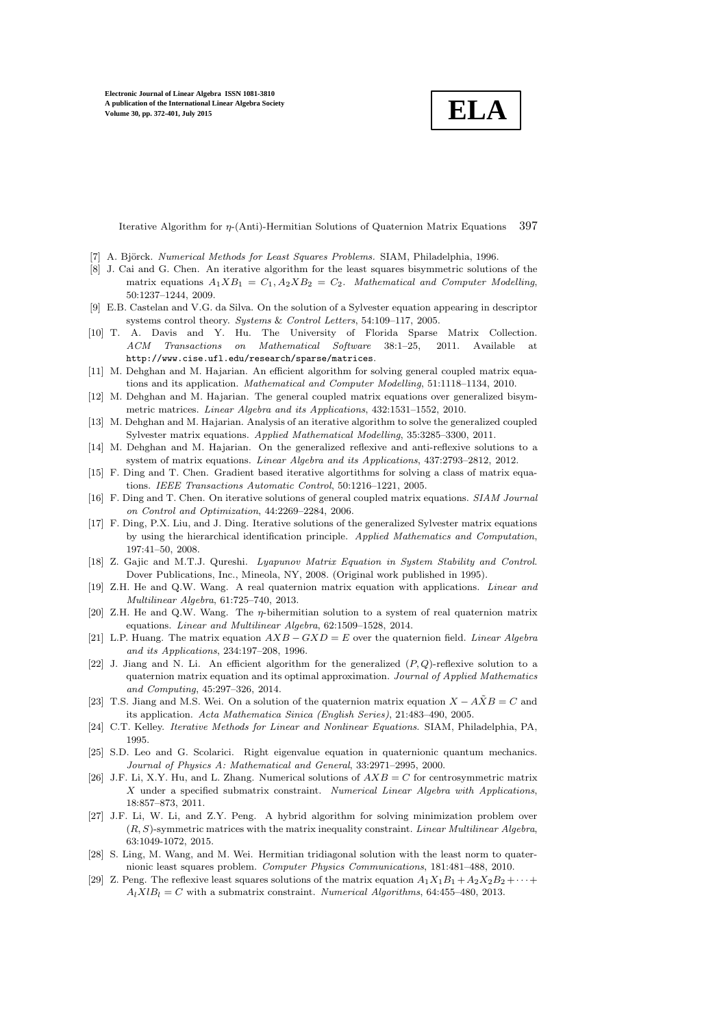**ELA**

Iterative Algorithm for η-(Anti)-Hermitian Solutions of Quaternion Matrix Equations 397

- <span id="page-25-20"></span><span id="page-25-2"></span>[7] A. Björck. *Numerical Methods for Least Squares Problems*. SIAM, Philadelphia, 1996.
- [8] J. Cai and G. Chen. An iterative algorithm for the least squares bisymmetric solutions of the matrix equations  $A_1XB_1 = C_1, A_2XB_2 = C_2$ . *Mathematical and Computer Modelling*, 50:1237–1244, 2009.
- <span id="page-25-0"></span>[9] E.B. Castelan and V.G. da Silva. On the solution of a Sylvester equation appearing in descriptor systems control theory. *Systems* & *Control Letters*, 54:109–117, 2005.
- <span id="page-25-22"></span>[10] T. A. Davis and Y. Hu. The University of Florida Sparse Matrix Collection. *ACM Transactions on Mathematical Software* 38:1–25, 2011. Available http://www.cise.ufl.edu/research/sparse/matrices.
- <span id="page-25-8"></span><span id="page-25-6"></span>[11] M. Dehghan and M. Hajarian. An efficient algorithm for solving general coupled matrix equations and its application. *Mathematical and Computer Modelling*, 51:1118–1134, 2010.
- [12] M. Dehghan and M. Hajarian. The general coupled matrix equations over generalized bisymmetric matrices. *Linear Algebra and its Applications*, 432:1531–1552, 2010.
- <span id="page-25-7"></span>[13] M. Dehghan and M. Hajarian. Analysis of an iterative algorithm to solve the generalized coupled Sylvester matrix equations. *Applied Mathematical Modelling*, 35:3285–3300, 2011.
- <span id="page-25-9"></span>[14] M. Dehghan and M. Hajarian. On the generalized reflexive and anti-reflexive solutions to a system of matrix equations. *Linear Algebra and its Applications*, 437:2793–2812, 2012.
- <span id="page-25-3"></span>[15] F. Ding and T. Chen. Gradient based iterative algortithms for solving a class of matrix equations. *IEEE Transactions Automatic Control*, 50:1216–1221, 2005.
- <span id="page-25-4"></span>[16] F. Ding and T. Chen. On iterative solutions of general coupled matrix equations. *SIAM Journal on Control and Optimization*, 44:2269–2284, 2006.
- <span id="page-25-5"></span>[17] F. Ding, P.X. Liu, and J. Ding. Iterative solutions of the generalized Sylvester matrix equations by using the hierarchical identification principle. *Applied Mathematics and Computation*, 197:41–50, 2008.
- <span id="page-25-1"></span>[18] Z. Gajic and M.T.J. Qureshi. *Lyapunov Matrix Equation in System Stability and Control*. Dover Publications, Inc., Mineola, NY, 2008. (Original work published in 1995).
- <span id="page-25-16"></span>[19] Z.H. He and Q.W. Wang. A real quaternion matrix equation with applications. *Linear and Multilinear Algebra*, 61:725–740, 2013.
- <span id="page-25-10"></span>[20] Z.H. He and Q.W. Wang. The  $\eta$ -bihermitian solution to a system of real quaternion matrix equations. *Linear and Multilinear Algebra*, 62:1509–1528, 2014.
- <span id="page-25-11"></span>[21] L.P. Huang. The matrix equation AXB − GXD = E over the quaternion field. *Linear Algebra and its Applications*, 234:197–208, 1996.
- <span id="page-25-12"></span>[22] J. Jiang and N. Li. An efficient algorithm for the generalized  $(P, Q)$ -reflexive solution to a quaternion matrix equation and its optimal approximation. *Journal of Applied Mathematics and Computing*, 45:297–326, 2014.
- <span id="page-25-13"></span>[23] T.S. Jiang and M.S. Wei. On a solution of the quaternion matrix equation  $X - A\tilde{X}B = C$  and its application. *Acta Mathematica Sinica (English Series)*, 21:483–490, 2005.
- <span id="page-25-21"></span>[24] C.T. Kelley. *Iterative Methods for Linear and Nonlinear Equations*. SIAM, Philadelphia, PA, 1995.
- <span id="page-25-14"></span>[25] S.D. Leo and G. Scolarici. Right eigenvalue equation in quaternionic quantum mechanics. *Journal of Physics A: Mathematical and General*, 33:2971–2995, 2000.
- <span id="page-25-17"></span>[26] J.F. Li, X.Y. Hu, and L. Zhang. Numerical solutions of  $AXB = C$  for centrosymmetric matrix X under a specified submatrix constraint. *Numerical Linear Algebra with Applications*, 18:857–873, 2011.
- <span id="page-25-18"></span>[27] J.F. Li, W. Li, and Z.Y. Peng. A hybrid algorithm for solving minimization problem over (R, S)-symmetric matrices with the matrix inequality constraint. *Linear Multilinear Algebra*, 63:1049-1072, 2015.
- <span id="page-25-15"></span>[28] S. Ling, M. Wang, and M. Wei. Hermitian tridiagonal solution with the least norm to quaternionic least squares problem. *Computer Physics Communications*, 181:481–488, 2010.
- <span id="page-25-19"></span>[29] Z. Peng. The reflexive least squares solutions of the matrix equation  $A_1X_1B_1 + A_2X_2B_2 + \cdots$  $A_lXlB_l = C$  with a submatrix constraint. *Numerical Algorithms*, 64:455–480, 2013.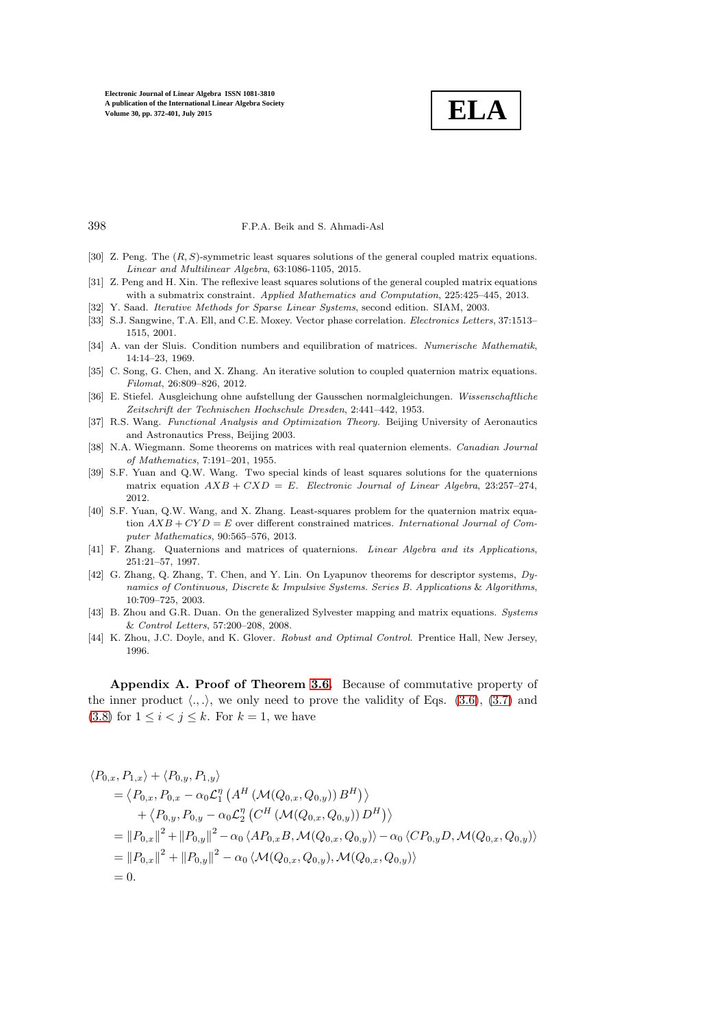

398 F.P.A. Beik and S. Ahmadi-Asl

- <span id="page-26-9"></span><span id="page-26-8"></span>[30] Z. Peng. The (R, S)-symmetric least squares solutions of the general coupled matrix equations. *Linear and Multilinear Algebra*, 63:1086-1105, 2015.
- <span id="page-26-11"></span>[31] Z. Peng and H. Xin. The reflexive least squares solutions of the general coupled matrix equations with a submatrix constraint. *Applied Mathematics and Computation*, 225:425–445, 2013.
- <span id="page-26-6"></span>[32] Y. Saad. *Iterative Methods for Sparse Linear Systems*, second edition. SIAM, 2003.
- <span id="page-26-14"></span>[33] S.J. Sangwine, T.A. Ell, and C.E. Moxey. Vector phase correlation. *Electronics Letters*, 37:1513– 1515, 2001.
- [34] A. van der Sluis. Condition numbers and equilibration of matrices. *Numerische Mathematik*, 14:14–23, 1969.
- <span id="page-26-3"></span>[35] C. Song, G. Chen, and X. Zhang. An iterative solution to coupled quaternion matrix equations. *Filomat*, 26:809–826, 2012.
- <span id="page-26-10"></span>[36] E. Stiefel. Ausgleichung ohne aufstellung der Gausschen normalgleichungen. *Wissenschaftliche Zeitschrift der Technischen Hochschule Dresden*, 2:441–442, 1953.
- <span id="page-26-12"></span>[37] R.S. Wang. *Functional Analysis and Optimization Theory.* Beijing University of Aeronautics and Astronautics Press, Beijing 2003.
- <span id="page-26-13"></span>[38] N.A. Wiegmann. Some theorems on matrices with real quaternion elements. *Canadian Journal of Mathematics*, 7:191–201, 1955.
- <span id="page-26-7"></span>[39] S.F. Yuan and Q.W. Wang. Two special kinds of least squares solutions for the quaternions matrix equation  $AXB + CXD = E$ . *Electronic Journal of Linear Algebra*, 23:257-274, 2012.
- <span id="page-26-4"></span>[40] S.F. Yuan, Q.W. Wang, and X. Zhang. Least-squares problem for the quaternion matrix equation AXB + CY D = E over different constrained matrices. *International Journal of Computer Mathematics*, 90:565–576, 2013.
- <span id="page-26-5"></span>[41] F. Zhang. Quaternions and matrices of quaternions. *Linear Algebra and its Applications*, 251:21–57, 1997.
- <span id="page-26-0"></span>[42] G. Zhang, Q. Zhang, T. Chen, and Y. Lin. On Lyapunov theorems for descriptor systems, *Dynamics of Continuous, Discrete* & *Impulsive Systems. Series B. Applications* & *Algorithms*, 10:709–725, 2003.
- <span id="page-26-1"></span>[43] B. Zhou and G.R. Duan. On the generalized Sylvester mapping and matrix equations. *Systems* & *Control Letters*, 57:200–208, 2008.
- <span id="page-26-2"></span>[44] K. Zhou, J.C. Doyle, and K. Glover. *Robust and Optimal Control.* Prentice Hall, New Jersey, 1996.

Appendix A. Proof of Theorem [3.6.](#page-10-1) Because of commutative property of the inner product  $\langle ., . \rangle$ , we only need to prove the validity of Eqs. [\(3.6\)](#page-10-2), [\(3.7\)](#page-10-2) and [\(3.8\)](#page-10-2) for  $1 \leq i \leq j \leq k$ . For  $k = 1$ , we have

$$
\langle P_{0,x}, P_{1,x} \rangle + \langle P_{0,y}, P_{1,y} \rangle
$$
  
=  $\langle P_{0,x}, P_{0,x} - \alpha_0 \mathcal{L}_1^n \left( A^H \left( \mathcal{M}(Q_{0,x}, Q_{0,y}) \right) B^H \right) \rangle$   
+  $\langle P_{0,y}, P_{0,y} - \alpha_0 \mathcal{L}_2^n \left( C^H \left( \mathcal{M}(Q_{0,x}, Q_{0,y}) \right) D^H \right) \rangle$   
=  $||P_{0,x}||^2 + ||P_{0,y}||^2 - \alpha_0 \langle AP_{0,x}B, \mathcal{M}(Q_{0,x}, Q_{0,y}) \rangle - \alpha_0 \langle CP_{0,y}D, \mathcal{M}(Q_{0,x}, Q_{0,y}) \rangle$   
=  $||P_{0,x}||^2 + ||P_{0,y}||^2 - \alpha_0 \langle \mathcal{M}(Q_{0,x}, Q_{0,y}), \mathcal{M}(Q_{0,x}, Q_{0,y}) \rangle$   
= 0.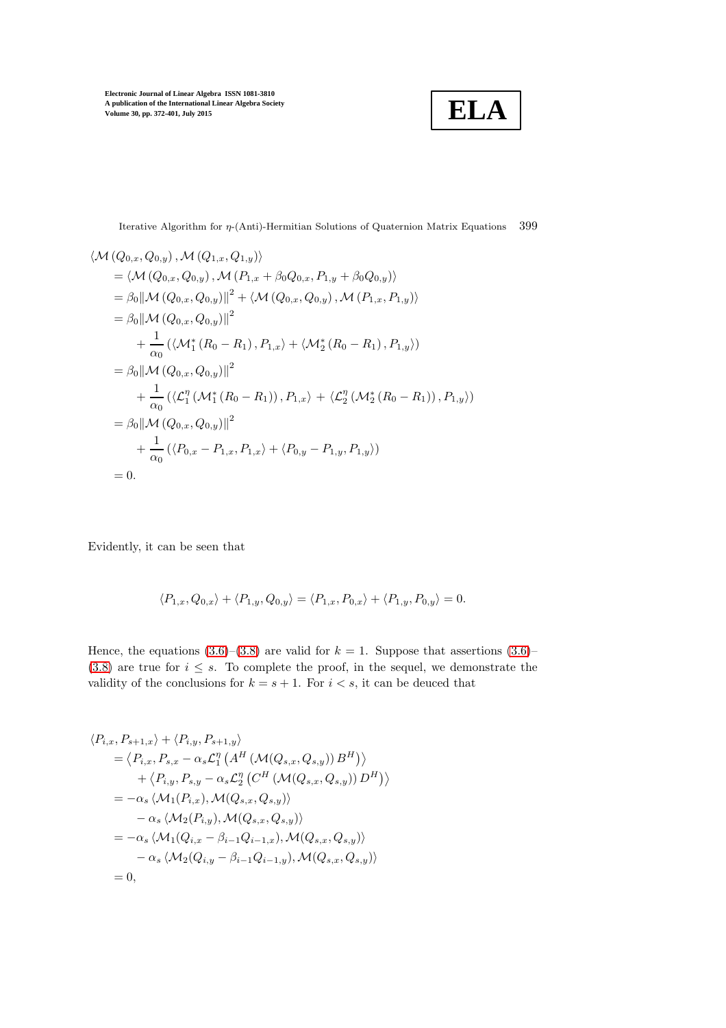

Iterative Algorithm for  $\eta$ -(Anti)-Hermitian Solutions of Quaternion Matrix Equations 399

$$
\langle \mathcal{M}(Q_{0,x}, Q_{0,y}), \mathcal{M}(Q_{1,x}, Q_{1,y}) \rangle
$$
  
=  $\langle \mathcal{M}(Q_{0,x}, Q_{0,y}), \mathcal{M}(P_{1,x} + \beta_0 Q_{0,x}, P_{1,y} + \beta_0 Q_{0,y}) \rangle$   
=  $\beta_0 || \mathcal{M}(Q_{0,x}, Q_{0,y})||^2 + \langle \mathcal{M}(Q_{0,x}, Q_{0,y}), \mathcal{M}(P_{1,x}, P_{1,y}) \rangle$   
=  $\beta_0 || \mathcal{M}(Q_{0,x}, Q_{0,y})||^2$   
+  $\frac{1}{\alpha_0} (\langle \mathcal{M}_1^*(R_0 - R_1), P_{1,x} \rangle + \langle \mathcal{M}_2^*(R_0 - R_1), P_{1,y} \rangle)$   
=  $\beta_0 || \mathcal{M}(Q_{0,x}, Q_{0,y})||^2$   
+  $\frac{1}{\alpha_0} (\langle \mathcal{L}_1^{\eta}(\mathcal{M}_1^*(R_0 - R_1)), P_{1,x} \rangle + \langle \mathcal{L}_2^{\eta}(\mathcal{M}_2^*(R_0 - R_1)), P_{1,y} \rangle)$   
=  $\beta_0 || \mathcal{M}(Q_{0,x}, Q_{0,y}) ||^2$   
+  $\frac{1}{\alpha_0} (\langle P_{0,x} - P_{1,x}, P_{1,x} \rangle + \langle P_{0,y} - P_{1,y}, P_{1,y} \rangle)$   
= 0.

Evidently, it can be seen that

$$
\langle P_{1,x}, Q_{0,x} \rangle + \langle P_{1,y}, Q_{0,y} \rangle = \langle P_{1,x}, P_{0,x} \rangle + \langle P_{1,y}, P_{0,y} \rangle = 0.
$$

Hence, the equations [\(3.6\)](#page-10-2)–[\(3.8\)](#page-10-2) are valid for  $k = 1$ . Suppose that assertions (3.6)– [\(3.8\)](#page-10-2) are true for  $i \leq s$ . To complete the proof, in the sequel, we demonstrate the validity of the conclusions for  $k=s+1.$  For  $i < s,$  it can be deuced that

$$
\langle P_{i,x}, P_{s+1,x} \rangle + \langle P_{i,y}, P_{s+1,y} \rangle
$$
  
\n
$$
= \langle P_{i,x}, P_{s,x} - \alpha_s \mathcal{L}_1^n \left( A^H \left( \mathcal{M}(Q_{s,x}, Q_{s,y}) \right) B^H \right) \rangle
$$
  
\n
$$
+ \langle P_{i,y}, P_{s,y} - \alpha_s \mathcal{L}_2^n \left( C^H \left( \mathcal{M}(Q_{s,x}, Q_{s,y}) \right) D^H \right) \rangle
$$
  
\n
$$
= -\alpha_s \langle \mathcal{M}_1(P_{i,x}), \mathcal{M}(Q_{s,x}, Q_{s,y}) \rangle
$$
  
\n
$$
- \alpha_s \langle \mathcal{M}_2(P_{i,y}), \mathcal{M}(Q_{s,x}, Q_{s,y}) \rangle
$$
  
\n
$$
= -\alpha_s \langle \mathcal{M}_1(Q_{i,x} - \beta_{i-1} Q_{i-1,x}), \mathcal{M}(Q_{s,x}, Q_{s,y}) \rangle
$$
  
\n
$$
- \alpha_s \langle \mathcal{M}_2(Q_{i,y} - \beta_{i-1} Q_{i-1,y}), \mathcal{M}(Q_{s,x}, Q_{s,y}) \rangle
$$
  
\n
$$
= 0,
$$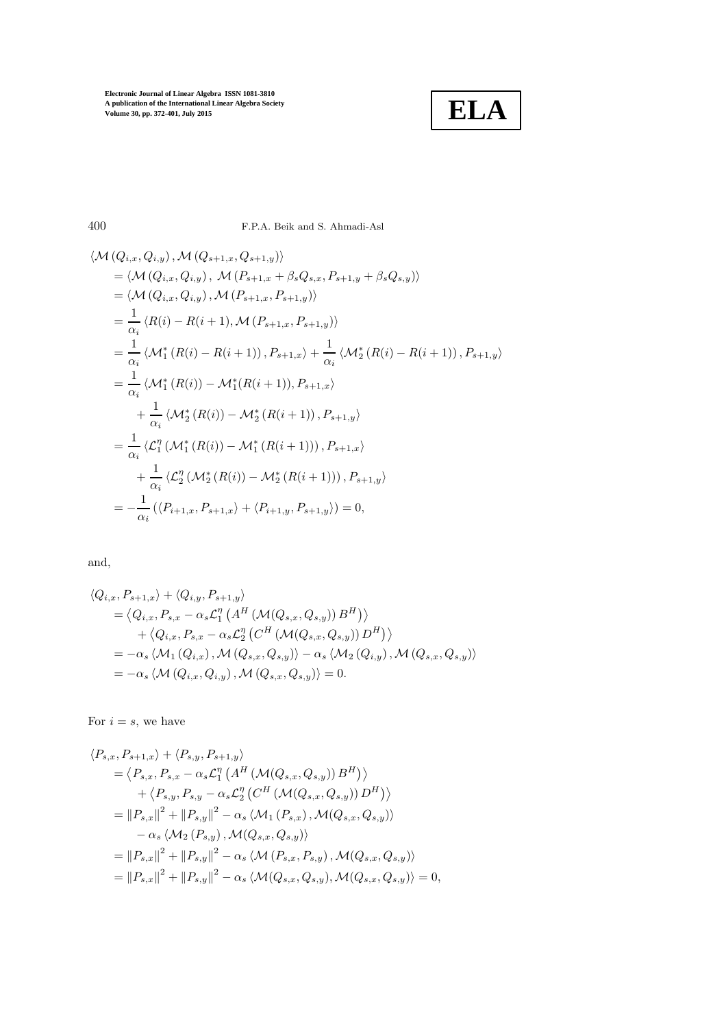

400 F.P.A. Beik and S. Ahmadi-Asl

$$
\langle \mathcal{M} (Q_{i,x}, Q_{i,y}), \mathcal{M} (Q_{s+1,x}, Q_{s+1,y}) \rangle
$$
  
\n
$$
= \langle \mathcal{M} (Q_{i,x}, Q_{i,y}), \mathcal{M} (P_{s+1,x} + \beta_s Q_{s,x}, P_{s+1,y} + \beta_s Q_{s,y}) \rangle
$$
  
\n
$$
= \langle \mathcal{M} (Q_{i,x}, Q_{i,y}), \mathcal{M} (P_{s+1,x}, P_{s+1,y}) \rangle
$$
  
\n
$$
= \frac{1}{\alpha_i} \langle R(i) - R(i+1), \mathcal{M} (P_{s+1,x}, P_{s+1,y}) \rangle
$$
  
\n
$$
= \frac{1}{\alpha_i} \langle \mathcal{M}_1^* (R(i) - R(i+1)), P_{s+1,x} \rangle + \frac{1}{\alpha_i} \langle \mathcal{M}_2^* (R(i) - R(i+1)), P_{s+1,y} \rangle
$$
  
\n
$$
= \frac{1}{\alpha_i} \langle \mathcal{M}_1^* (R(i)) - \mathcal{M}_1^* (R(i+1)), P_{s+1,x} \rangle
$$
  
\n
$$
+ \frac{1}{\alpha_i} \langle \mathcal{M}_2^* (R(i)) - \mathcal{M}_2^* (R(i+1)), P_{s+1,y} \rangle
$$
  
\n
$$
= \frac{1}{\alpha_i} \langle \mathcal{L}_1^{\eta} (\mathcal{M}_1^* (R(i)) - \mathcal{M}_1^* (R(i+1))), P_{s+1,x} \rangle
$$
  
\n
$$
+ \frac{1}{\alpha_i} \langle \mathcal{L}_2^{\eta} (\mathcal{M}_2^* (R(i)) - \mathcal{M}_2^* (R(i+1))), P_{s+1,y} \rangle
$$
  
\n
$$
= -\frac{1}{\alpha_i} (\langle P_{i+1,x}, P_{s+1,x} \rangle + \langle P_{i+1,y}, P_{s+1,y} \rangle) = 0,
$$

and,

$$
\langle Q_{i,x}, P_{s+1,x} \rangle + \langle Q_{i,y}, P_{s+1,y} \rangle
$$
  
=  $\langle Q_{i,x}, P_{s,x} - \alpha_s \mathcal{L}_1^n \left( A^H \left( \mathcal{M}(Q_{s,x}, Q_{s,y}) \right) B^H \right) \rangle$   
+  $\langle Q_{i,x}, P_{s,x} - \alpha_s \mathcal{L}_2^n \left( C^H \left( \mathcal{M}(Q_{s,x}, Q_{s,y}) \right) D^H \right) \rangle$   
=  $-\alpha_s \langle \mathcal{M}_1 (Q_{i,x}), \mathcal{M} (Q_{s,x}, Q_{s,y}) \rangle - \alpha_s \langle \mathcal{M}_2 (Q_{i,y}), \mathcal{M} (Q_{s,x}, Q_{s,y}) \rangle$   
=  $-\alpha_s \langle \mathcal{M} (Q_{i,x}, Q_{i,y}), \mathcal{M} (Q_{s,x}, Q_{s,y}) \rangle = 0.$ 

For  $i = s$ , we have

$$
\langle P_{s,x}, P_{s+1,x} \rangle + \langle P_{s,y}, P_{s+1,y} \rangle \n= \langle P_{s,x}, P_{s,x} - \alpha_s \mathcal{L}_1^n \left( A^H \left( \mathcal{M}(Q_{s,x}, Q_{s,y}) \right) B^H \right) \rangle \n+ \langle P_{s,y}, P_{s,y} - \alpha_s \mathcal{L}_2^n \left( C^H \left( \mathcal{M}(Q_{s,x}, Q_{s,y}) \right) D^H \right) \rangle \n= \|P_{s,x}\|^2 + \|P_{s,y}\|^2 - \alpha_s \langle \mathcal{M}_1 (P_{s,x}) , \mathcal{M}(Q_{s,x}, Q_{s,y}) \rangle \n- \alpha_s \langle \mathcal{M}_2 (P_{s,y}) , \mathcal{M}(Q_{s,x}, Q_{s,y}) \rangle \n= \|P_{s,x}\|^2 + \|P_{s,y}\|^2 - \alpha_s \langle \mathcal{M}(P_{s,x}, P_{s,y}) , \mathcal{M}(Q_{s,x}, Q_{s,y}) \rangle \n= \|P_{s,x}\|^2 + \|P_{s,y}\|^2 - \alpha_s \langle \mathcal{M}(Q_{s,x}, Q_{s,y}) , \mathcal{M}(Q_{s,x}, Q_{s,y}) \rangle = 0,
$$